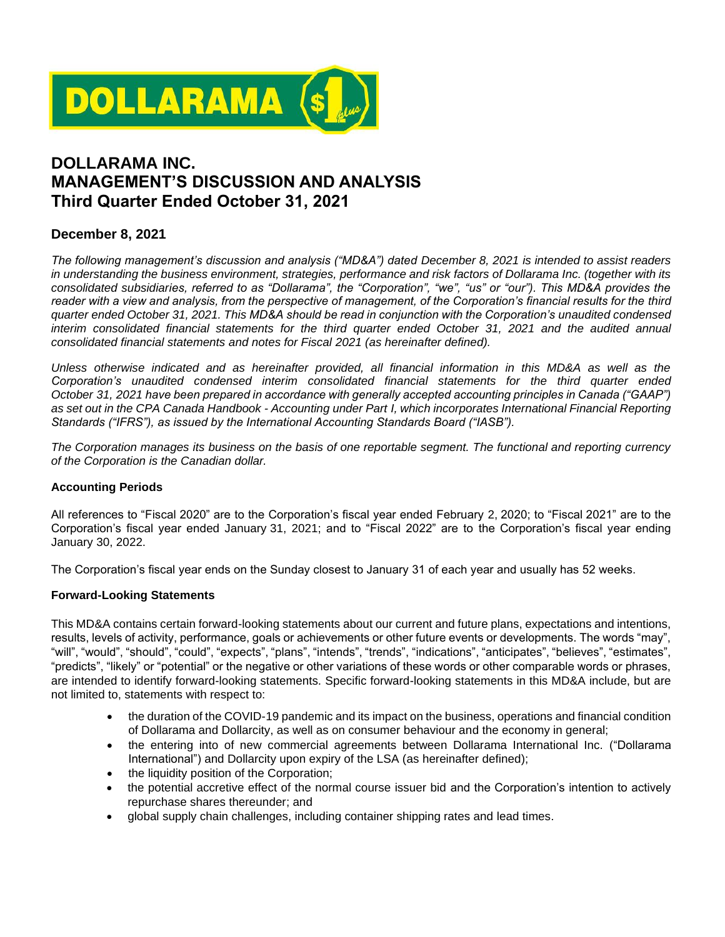

# **DOLLARAMA INC. MANAGEMENT'S DISCUSSION AND ANALYSIS Third Quarter Ended October 31, 2021**

# **December 8, 2021**

*The following management's discussion and analysis ("MD&A") dated December 8, 2021 is intended to assist readers in understanding the business environment, strategies, performance and risk factors of Dollarama Inc. (together with its consolidated subsidiaries, referred to as "Dollarama", the "Corporation", "we", "us" or "our"). This MD&A provides the*  reader with a view and analysis, from the perspective of management, of the Corporation's financial results for the third *quarter ended October 31, 2021. This MD&A should be read in conjunction with the Corporation's unaudited condensed interim consolidated financial statements for the third quarter ended October 31, 2021 and the audited annual consolidated financial statements and notes for Fiscal 2021 (as hereinafter defined).*

*Unless otherwise indicated and as hereinafter provided, all financial information in this MD&A as well as the Corporation's unaudited condensed interim consolidated financial statements for the third quarter ended October 31, 2021 have been prepared in accordance with generally accepted accounting principles in Canada ("GAAP") as set out in the CPA Canada Handbook - Accounting under Part I, which incorporates International Financial Reporting Standards ("IFRS"), as issued by the International Accounting Standards Board ("IASB").*

*The Corporation manages its business on the basis of one reportable segment. The functional and reporting currency of the Corporation is the Canadian dollar.*

# **Accounting Periods**

All references to "Fiscal 2020" are to the Corporation's fiscal year ended February 2, 2020; to "Fiscal 2021" are to the Corporation's fiscal year ended January 31, 2021; and to "Fiscal 2022" are to the Corporation's fiscal year ending January 30, 2022.

The Corporation's fiscal year ends on the Sunday closest to January 31 of each year and usually has 52 weeks.

# **Forward-Looking Statements**

This MD&A contains certain forward-looking statements about our current and future plans, expectations and intentions, results, levels of activity, performance, goals or achievements or other future events or developments. The words "may", "will", "would", "should", "could", "expects", "plans", "intends", "trends", "indications", "anticipates", "believes", "estimates", "predicts", "likely" or "potential" or the negative or other variations of these words or other comparable words or phrases, are intended to identify forward-looking statements. Specific forward-looking statements in this MD&A include, but are not limited to, statements with respect to:

- the duration of the COVID-19 pandemic and its impact on the business, operations and financial condition of Dollarama and Dollarcity, as well as on consumer behaviour and the economy in general;
- the entering into of new commercial agreements between Dollarama International Inc. ("Dollarama International") and Dollarcity upon expiry of the LSA (as hereinafter defined);
- the liquidity position of the Corporation;
- the potential accretive effect of the normal course issuer bid and the Corporation's intention to actively repurchase shares thereunder; and
- global supply chain challenges, including container shipping rates and lead times.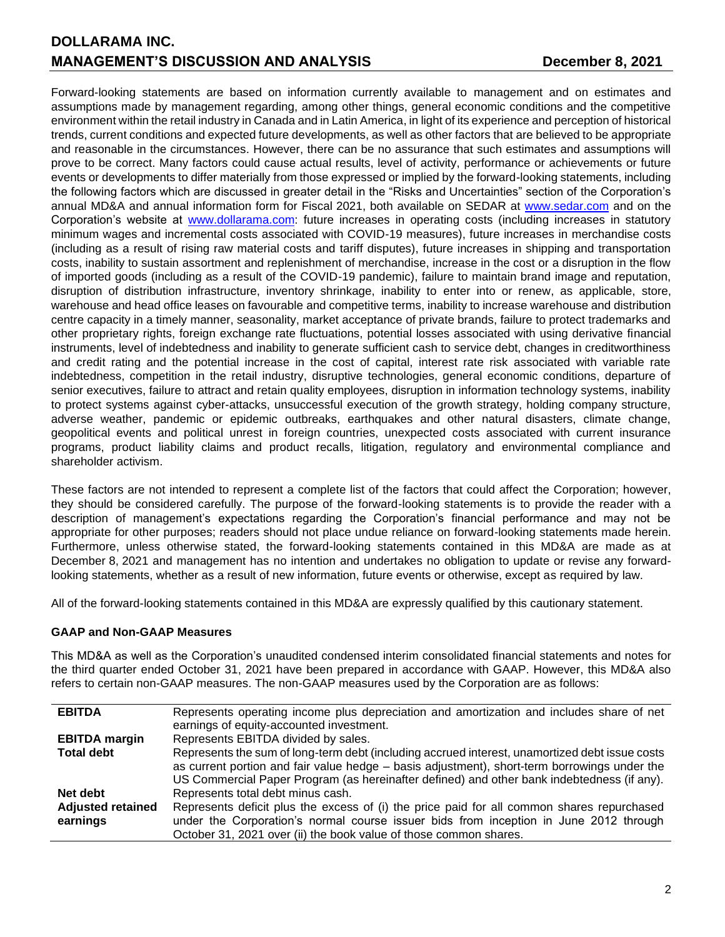Forward-looking statements are based on information currently available to management and on estimates and assumptions made by management regarding, among other things, general economic conditions and the competitive environment within the retail industry in Canada and in Latin America, in light of its experience and perception of historical trends, current conditions and expected future developments, as well as other factors that are believed to be appropriate and reasonable in the circumstances. However, there can be no assurance that such estimates and assumptions will prove to be correct. Many factors could cause actual results, level of activity, performance or achievements or future events or developments to differ materially from those expressed or implied by the forward-looking statements, including the following factors which are discussed in greater detail in the "Risks and Uncertainties" section of the Corporation's annual MD&A and annual information form for Fiscal 2021, both available on SEDAR at [www.sedar.com](http://www.sedar.com/) and on the Corporation's website at [www.dollarama.com:](http://www.dollarama.com/) future increases in operating costs (including increases in statutory minimum wages and incremental costs associated with COVID-19 measures), future increases in merchandise costs (including as a result of rising raw material costs and tariff disputes), future increases in shipping and transportation costs, inability to sustain assortment and replenishment of merchandise, increase in the cost or a disruption in the flow of imported goods (including as a result of the COVID-19 pandemic), failure to maintain brand image and reputation, disruption of distribution infrastructure, inventory shrinkage, inability to enter into or renew, as applicable, store, warehouse and head office leases on favourable and competitive terms, inability to increase warehouse and distribution centre capacity in a timely manner, seasonality, market acceptance of private brands, failure to protect trademarks and other proprietary rights, foreign exchange rate fluctuations, potential losses associated with using derivative financial instruments, level of indebtedness and inability to generate sufficient cash to service debt, changes in creditworthiness and credit rating and the potential increase in the cost of capital, interest rate risk associated with variable rate indebtedness, competition in the retail industry, disruptive technologies, general economic conditions, departure of senior executives, failure to attract and retain quality employees, disruption in information technology systems, inability to protect systems against cyber-attacks, unsuccessful execution of the growth strategy, holding company structure, adverse weather, pandemic or epidemic outbreaks, earthquakes and other natural disasters, climate change, geopolitical events and political unrest in foreign countries, unexpected costs associated with current insurance programs, product liability claims and product recalls, litigation, regulatory and environmental compliance and shareholder activism.

These factors are not intended to represent a complete list of the factors that could affect the Corporation; however, they should be considered carefully. The purpose of the forward-looking statements is to provide the reader with a description of management's expectations regarding the Corporation's financial performance and may not be appropriate for other purposes; readers should not place undue reliance on forward-looking statements made herein. Furthermore, unless otherwise stated, the forward-looking statements contained in this MD&A are made as at December 8, 2021 and management has no intention and undertakes no obligation to update or revise any forwardlooking statements, whether as a result of new information, future events or otherwise, except as required by law.

All of the forward-looking statements contained in this MD&A are expressly qualified by this cautionary statement.

# **GAAP and Non-GAAP Measures**

This MD&A as well as the Corporation's unaudited condensed interim consolidated financial statements and notes for the third quarter ended October 31, 2021 have been prepared in accordance with GAAP. However, this MD&A also refers to certain non-GAAP measures. The non-GAAP measures used by the Corporation are as follows:

| <b>EBITDA</b>            | Represents operating income plus depreciation and amortization and includes share of net       |
|--------------------------|------------------------------------------------------------------------------------------------|
|                          | earnings of equity-accounted investment.                                                       |
| <b>EBITDA</b> margin     | Represents EBITDA divided by sales.                                                            |
| <b>Total debt</b>        | Represents the sum of long-term debt (including accrued interest, unamortized debt issue costs |
|                          | as current portion and fair value hedge – basis adjustment), short-term borrowings under the   |
|                          | US Commercial Paper Program (as hereinafter defined) and other bank indebtedness (if any).     |
| Net debt                 | Represents total debt minus cash.                                                              |
| <b>Adjusted retained</b> | Represents deficit plus the excess of (i) the price paid for all common shares repurchased     |
| earnings                 | under the Corporation's normal course issuer bids from inception in June 2012 through          |
|                          | October 31, 2021 over (ii) the book value of those common shares.                              |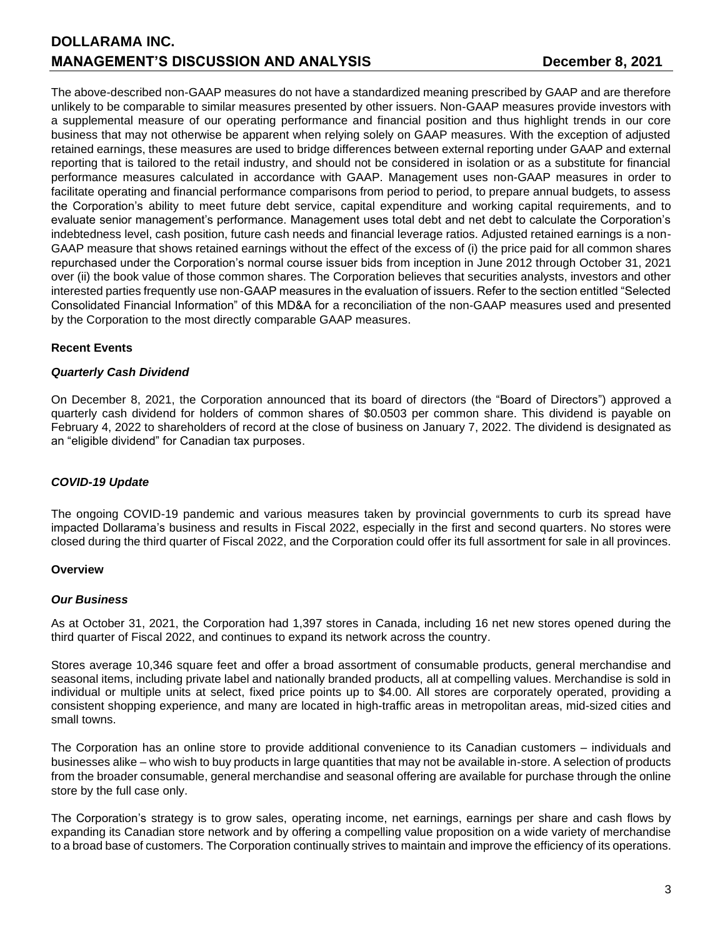The above-described non-GAAP measures do not have a standardized meaning prescribed by GAAP and are therefore unlikely to be comparable to similar measures presented by other issuers. Non-GAAP measures provide investors with a supplemental measure of our operating performance and financial position and thus highlight trends in our core business that may not otherwise be apparent when relying solely on GAAP measures. With the exception of adjusted retained earnings, these measures are used to bridge differences between external reporting under GAAP and external reporting that is tailored to the retail industry, and should not be considered in isolation or as a substitute for financial performance measures calculated in accordance with GAAP. Management uses non-GAAP measures in order to facilitate operating and financial performance comparisons from period to period, to prepare annual budgets, to assess the Corporation's ability to meet future debt service, capital expenditure and working capital requirements, and to evaluate senior management's performance. Management uses total debt and net debt to calculate the Corporation's indebtedness level, cash position, future cash needs and financial leverage ratios. Adjusted retained earnings is a non-GAAP measure that shows retained earnings without the effect of the excess of (i) the price paid for all common shares repurchased under the Corporation's normal course issuer bids from inception in June 2012 through October 31, 2021 over (ii) the book value of those common shares. The Corporation believes that securities analysts, investors and other interested parties frequently use non-GAAP measures in the evaluation of issuers. Refer to the section entitled "Selected Consolidated Financial Information" of this MD&A for a reconciliation of the non-GAAP measures used and presented by the Corporation to the most directly comparable GAAP measures.

# **Recent Events**

# *Quarterly Cash Dividend*

On December 8, 2021, the Corporation announced that its board of directors (the "Board of Directors") approved a quarterly cash dividend for holders of common shares of \$0.0503 per common share. This dividend is payable on February 4, 2022 to shareholders of record at the close of business on January 7, 2022. The dividend is designated as an "eligible dividend" for Canadian tax purposes.

# *COVID-19 Update*

The ongoing COVID-19 pandemic and various measures taken by provincial governments to curb its spread have impacted Dollarama's business and results in Fiscal 2022, especially in the first and second quarters. No stores were closed during the third quarter of Fiscal 2022, and the Corporation could offer its full assortment for sale in all provinces.

# **Overview**

# *Our Business*

As at October 31, 2021, the Corporation had 1,397 stores in Canada, including 16 net new stores opened during the third quarter of Fiscal 2022, and continues to expand its network across the country.

Stores average 10,346 square feet and offer a broad assortment of consumable products, general merchandise and seasonal items, including private label and nationally branded products, all at compelling values. Merchandise is sold in individual or multiple units at select, fixed price points up to \$4.00. All stores are corporately operated, providing a consistent shopping experience, and many are located in high-traffic areas in metropolitan areas, mid-sized cities and small towns.

The Corporation has an online store to provide additional convenience to its Canadian customers – individuals and businesses alike – who wish to buy products in large quantities that may not be available in-store. A selection of products from the broader consumable, general merchandise and seasonal offering are available for purchase through the online store by the full case only.

The Corporation's strategy is to grow sales, operating income, net earnings, earnings per share and cash flows by expanding its Canadian store network and by offering a compelling value proposition on a wide variety of merchandise to a broad base of customers. The Corporation continually strives to maintain and improve the efficiency of its operations.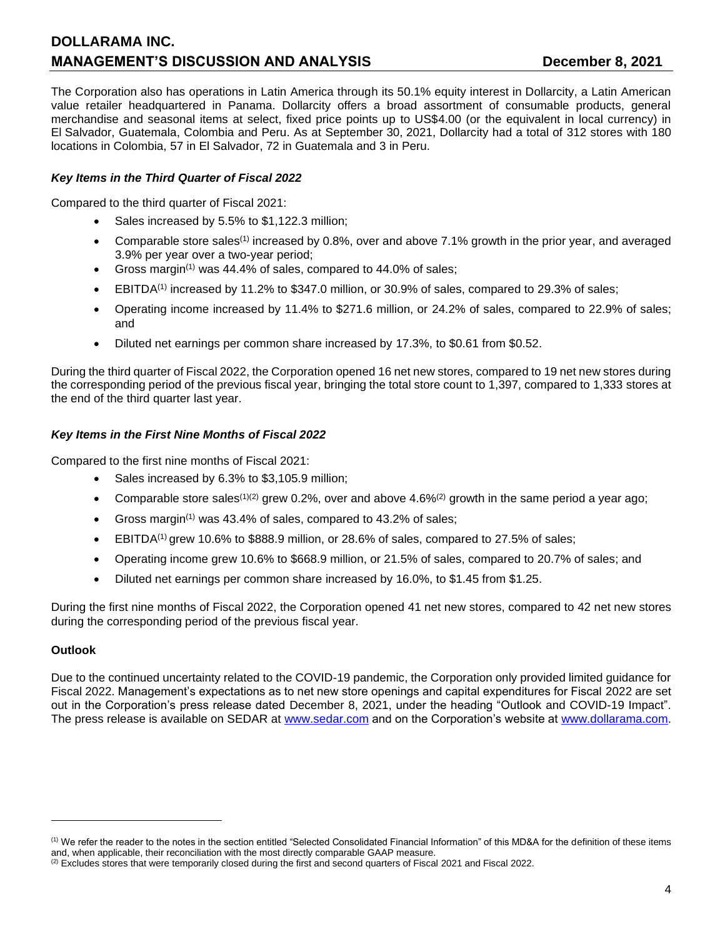# **DOLLARAMA INC. MANAGEMENT'S DISCUSSION AND ANALYSIS CONSUMING THE CONSUMING PROPERTY SETS**

The Corporation also has operations in Latin America through its 50.1% equity interest in Dollarcity, a Latin American value retailer headquartered in Panama. Dollarcity offers a broad assortment of consumable products, general merchandise and seasonal items at select, fixed price points up to US\$4.00 (or the equivalent in local currency) in El Salvador, Guatemala, Colombia and Peru. As at September 30, 2021, Dollarcity had a total of 312 stores with 180 locations in Colombia, 57 in El Salvador, 72 in Guatemala and 3 in Peru.

# *Key Items in the Third Quarter of Fiscal 2022*

Compared to the third quarter of Fiscal 2021:

- Sales increased by 5.5% to \$1,122.3 million;
- Comparable store sales<sup>(1)</sup> increased by 0.8%, over and above 7.1% growth in the prior year, and averaged 3.9% per year over a two-year period;
- Gross margin<sup> $(1)$ </sup> was 44.4% of sales, compared to 44.0% of sales;
- EBITDA(1) increased by 11.2% to \$347.0 million, or 30.9% of sales, compared to 29.3% of sales;
- Operating income increased by 11.4% to \$271.6 million, or 24.2% of sales, compared to 22.9% of sales; and
- Diluted net earnings per common share increased by 17.3%, to \$0.61 from \$0.52.

During the third quarter of Fiscal 2022, the Corporation opened 16 net new stores, compared to 19 net new stores during the corresponding period of the previous fiscal year, bringing the total store count to 1,397, compared to 1,333 stores at the end of the third quarter last year.

### *Key Items in the First Nine Months of Fiscal 2022*

Compared to the first nine months of Fiscal 2021:

- Sales increased by 6.3% to \$3,105.9 million;
- Comparable store sales<sup>(1)(2)</sup> grew 0.2%, over and above 4.6%<sup>(2)</sup> growth in the same period a year ago;
- Gross margin<sup>(1)</sup> was 43.4% of sales, compared to 43.2% of sales;
- **•** EBITDA<sup>(1)</sup> grew 10.6% to \$888.9 million, or 28.6% of sales, compared to 27.5% of sales;
- Operating income grew 10.6% to \$668.9 million, or 21.5% of sales, compared to 20.7% of sales; and
- Diluted net earnings per common share increased by 16.0%, to \$1.45 from \$1.25.

During the first nine months of Fiscal 2022, the Corporation opened 41 net new stores, compared to 42 net new stores during the corresponding period of the previous fiscal year.

#### **Outlook**

Due to the continued uncertainty related to the COVID-19 pandemic, the Corporation only provided limited guidance for Fiscal 2022. Management's expectations as to net new store openings and capital expenditures for Fiscal 2022 are set out in the Corporation's press release dated December 8, 2021, under the heading "Outlook and COVID-19 Impact". The press release is available on SEDAR at [www.sedar.com](http://www.sedar.com/) and on the Corporation's website at [www.dollarama.com.](http://www.dollarama.com/)

<sup>(1)</sup> We refer the reader to the notes in the section entitled "Selected Consolidated Financial Information" of this MD&A for the definition of these items and, when applicable, their reconciliation with the most directly comparable GAAP measure.

 $(2)$  Excludes stores that were temporarily closed during the first and second quarters of Fiscal 2021 and Fiscal 2022.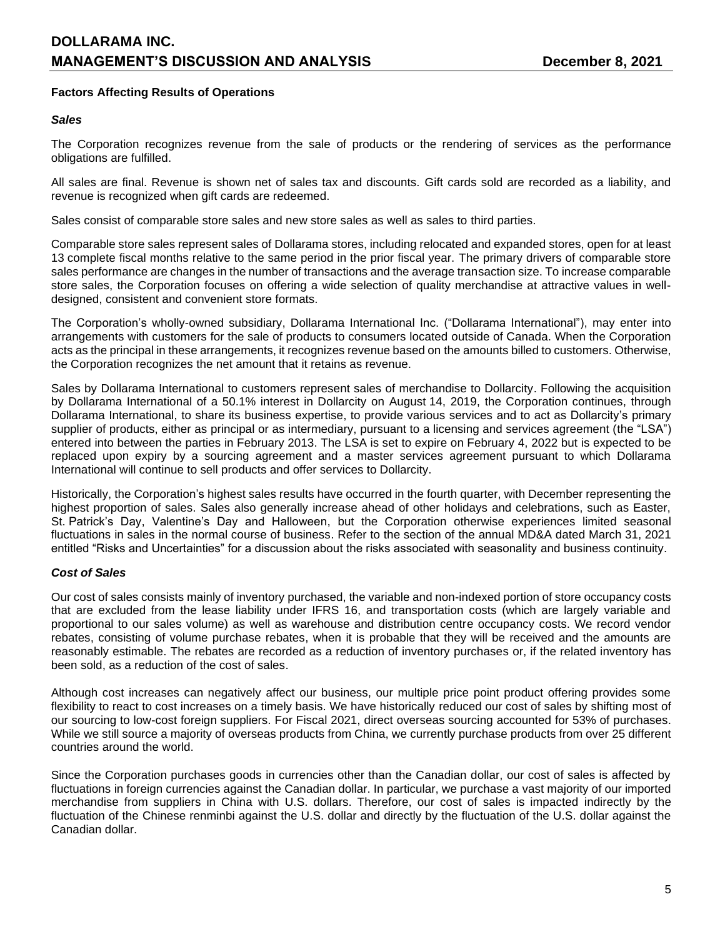# **Factors Affecting Results of Operations**

#### *Sales*

The Corporation recognizes revenue from the sale of products or the rendering of services as the performance obligations are fulfilled.

All sales are final. Revenue is shown net of sales tax and discounts. Gift cards sold are recorded as a liability, and revenue is recognized when gift cards are redeemed.

Sales consist of comparable store sales and new store sales as well as sales to third parties.

Comparable store sales represent sales of Dollarama stores, including relocated and expanded stores, open for at least 13 complete fiscal months relative to the same period in the prior fiscal year. The primary drivers of comparable store sales performance are changes in the number of transactions and the average transaction size. To increase comparable store sales, the Corporation focuses on offering a wide selection of quality merchandise at attractive values in welldesigned, consistent and convenient store formats.

The Corporation's wholly-owned subsidiary, Dollarama International Inc. ("Dollarama International"), may enter into arrangements with customers for the sale of products to consumers located outside of Canada. When the Corporation acts as the principal in these arrangements, it recognizes revenue based on the amounts billed to customers. Otherwise, the Corporation recognizes the net amount that it retains as revenue.

Sales by Dollarama International to customers represent sales of merchandise to Dollarcity. Following the acquisition by Dollarama International of a 50.1% interest in Dollarcity on August 14, 2019, the Corporation continues, through Dollarama International, to share its business expertise, to provide various services and to act as Dollarcity's primary supplier of products, either as principal or as intermediary, pursuant to a licensing and services agreement (the "LSA") entered into between the parties in February 2013. The LSA is set to expire on February 4, 2022 but is expected to be replaced upon expiry by a sourcing agreement and a master services agreement pursuant to which Dollarama International will continue to sell products and offer services to Dollarcity.

Historically, the Corporation's highest sales results have occurred in the fourth quarter, with December representing the highest proportion of sales. Sales also generally increase ahead of other holidays and celebrations, such as Easter, St. Patrick's Day, Valentine's Day and Halloween, but the Corporation otherwise experiences limited seasonal fluctuations in sales in the normal course of business. Refer to the section of the annual MD&A dated March 31, 2021 entitled "Risks and Uncertainties" for a discussion about the risks associated with seasonality and business continuity.

# *Cost of Sales*

Our cost of sales consists mainly of inventory purchased, the variable and non-indexed portion of store occupancy costs that are excluded from the lease liability under IFRS 16, and transportation costs (which are largely variable and proportional to our sales volume) as well as warehouse and distribution centre occupancy costs. We record vendor rebates, consisting of volume purchase rebates, when it is probable that they will be received and the amounts are reasonably estimable. The rebates are recorded as a reduction of inventory purchases or, if the related inventory has been sold, as a reduction of the cost of sales.

Although cost increases can negatively affect our business, our multiple price point product offering provides some flexibility to react to cost increases on a timely basis. We have historically reduced our cost of sales by shifting most of our sourcing to low-cost foreign suppliers. For Fiscal 2021, direct overseas sourcing accounted for 53% of purchases. While we still source a majority of overseas products from China, we currently purchase products from over 25 different countries around the world.

Since the Corporation purchases goods in currencies other than the Canadian dollar, our cost of sales is affected by fluctuations in foreign currencies against the Canadian dollar. In particular, we purchase a vast majority of our imported merchandise from suppliers in China with U.S. dollars. Therefore, our cost of sales is impacted indirectly by the fluctuation of the Chinese renminbi against the U.S. dollar and directly by the fluctuation of the U.S. dollar against the Canadian dollar.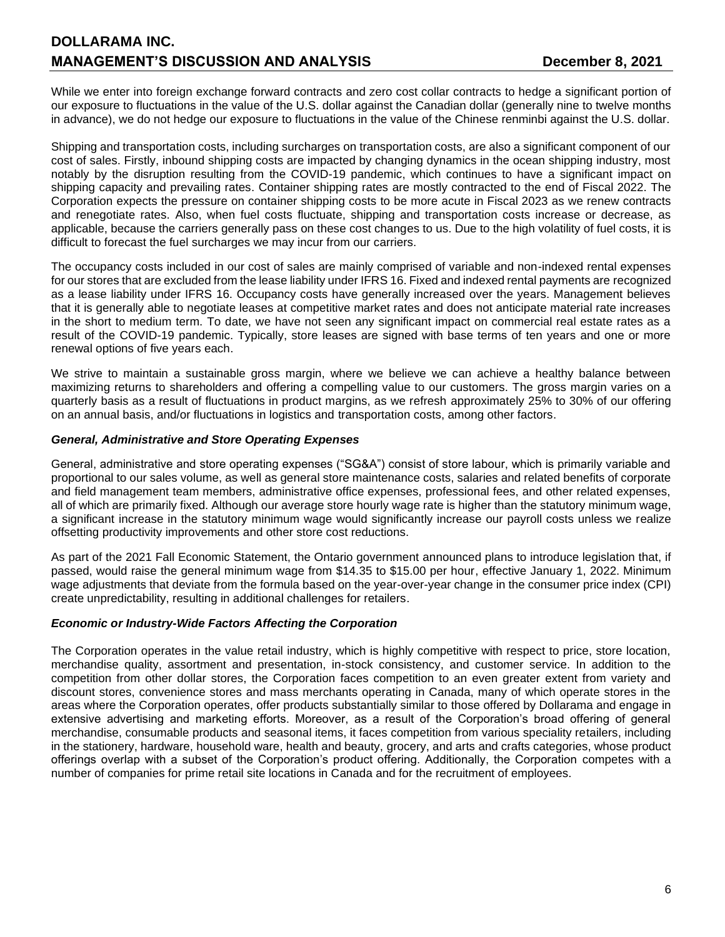While we enter into foreign exchange forward contracts and zero cost collar contracts to hedge a significant portion of our exposure to fluctuations in the value of the U.S. dollar against the Canadian dollar (generally nine to twelve months in advance), we do not hedge our exposure to fluctuations in the value of the Chinese renminbi against the U.S. dollar.

Shipping and transportation costs, including surcharges on transportation costs, are also a significant component of our cost of sales. Firstly, inbound shipping costs are impacted by changing dynamics in the ocean shipping industry, most notably by the disruption resulting from the COVID-19 pandemic, which continues to have a significant impact on shipping capacity and prevailing rates. Container shipping rates are mostly contracted to the end of Fiscal 2022. The Corporation expects the pressure on container shipping costs to be more acute in Fiscal 2023 as we renew contracts and renegotiate rates. Also, when fuel costs fluctuate, shipping and transportation costs increase or decrease, as applicable, because the carriers generally pass on these cost changes to us. Due to the high volatility of fuel costs, it is difficult to forecast the fuel surcharges we may incur from our carriers.

The occupancy costs included in our cost of sales are mainly comprised of variable and non-indexed rental expenses for our stores that are excluded from the lease liability under IFRS 16. Fixed and indexed rental payments are recognized as a lease liability under IFRS 16. Occupancy costs have generally increased over the years. Management believes that it is generally able to negotiate leases at competitive market rates and does not anticipate material rate increases in the short to medium term. To date, we have not seen any significant impact on commercial real estate rates as a result of the COVID-19 pandemic. Typically, store leases are signed with base terms of ten years and one or more renewal options of five years each.

We strive to maintain a sustainable gross margin, where we believe we can achieve a healthy balance between maximizing returns to shareholders and offering a compelling value to our customers. The gross margin varies on a quarterly basis as a result of fluctuations in product margins, as we refresh approximately 25% to 30% of our offering on an annual basis, and/or fluctuations in logistics and transportation costs, among other factors.

### *General, Administrative and Store Operating Expenses*

General, administrative and store operating expenses ("SG&A") consist of store labour, which is primarily variable and proportional to our sales volume, as well as general store maintenance costs, salaries and related benefits of corporate and field management team members, administrative office expenses, professional fees, and other related expenses, all of which are primarily fixed. Although our average store hourly wage rate is higher than the statutory minimum wage, a significant increase in the statutory minimum wage would significantly increase our payroll costs unless we realize offsetting productivity improvements and other store cost reductions.

As part of the 2021 Fall Economic Statement, the Ontario government announced plans to introduce legislation that, if passed, would raise the general minimum wage from \$14.35 to \$15.00 per hour, effective January 1, 2022. Minimum wage adjustments that deviate from the formula based on the year-over-year change in the consumer price index (CPI) create unpredictability, resulting in additional challenges for retailers.

# *Economic or Industry-Wide Factors Affecting the Corporation*

The Corporation operates in the value retail industry, which is highly competitive with respect to price, store location, merchandise quality, assortment and presentation, in-stock consistency, and customer service. In addition to the competition from other dollar stores, the Corporation faces competition to an even greater extent from variety and discount stores, convenience stores and mass merchants operating in Canada, many of which operate stores in the areas where the Corporation operates, offer products substantially similar to those offered by Dollarama and engage in extensive advertising and marketing efforts. Moreover, as a result of the Corporation's broad offering of general merchandise, consumable products and seasonal items, it faces competition from various speciality retailers, including in the stationery, hardware, household ware, health and beauty, grocery, and arts and crafts categories, whose product offerings overlap with a subset of the Corporation's product offering. Additionally, the Corporation competes with a number of companies for prime retail site locations in Canada and for the recruitment of employees.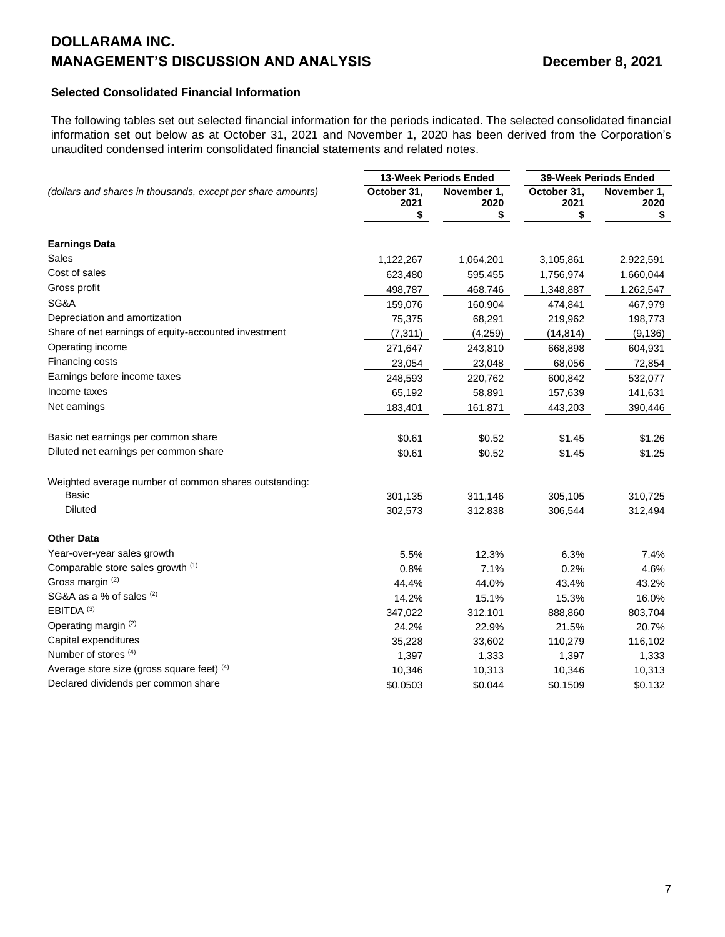# **Selected Consolidated Financial Information**

The following tables set out selected financial information for the periods indicated. The selected consolidated financial information set out below as at October 31, 2021 and November 1, 2020 has been derived from the Corporation's unaudited condensed interim consolidated financial statements and related notes.

|                                                             |                           | 13-Week Periods Ended     |                           | 39-Week Periods Ended     |  |
|-------------------------------------------------------------|---------------------------|---------------------------|---------------------------|---------------------------|--|
| (dollars and shares in thousands, except per share amounts) | October 31,<br>2021<br>\$ | November 1,<br>2020<br>\$ | October 31,<br>2021<br>\$ | November 1,<br>2020<br>\$ |  |
| <b>Earnings Data</b>                                        |                           |                           |                           |                           |  |
| Sales                                                       | 1,122,267                 | 1,064,201                 | 3,105,861                 | 2,922,591                 |  |
| Cost of sales                                               | 623,480                   | 595,455                   | 1,756,974                 | 1,660,044                 |  |
| Gross profit                                                | 498,787                   | 468,746                   | 1,348,887                 | 1,262,547                 |  |
| SG&A                                                        | 159,076                   | 160,904                   | 474,841                   | 467,979                   |  |
| Depreciation and amortization                               | 75,375                    | 68,291                    | 219,962                   | 198,773                   |  |
| Share of net earnings of equity-accounted investment        | (7, 311)                  | (4,259)                   | (14, 814)                 | (9, 136)                  |  |
| Operating income                                            | 271,647                   | 243,810                   | 668,898                   | 604,931                   |  |
| Financing costs                                             | 23,054                    | 23,048                    | 68,056                    | 72,854                    |  |
| Earnings before income taxes                                | 248,593                   | 220,762                   | 600,842                   | 532,077                   |  |
| Income taxes                                                | 65,192                    | 58,891                    | 157,639                   | 141,631                   |  |
| Net earnings                                                | 183,401                   | 161,871                   | 443,203                   | 390,446                   |  |
| Basic net earnings per common share                         | \$0.61                    | \$0.52                    | \$1.45                    | \$1.26                    |  |
| Diluted net earnings per common share                       | \$0.61                    | \$0.52                    | \$1.45                    | \$1.25                    |  |
| Weighted average number of common shares outstanding:       |                           |                           |                           |                           |  |
| <b>Basic</b>                                                | 301,135                   | 311,146                   | 305,105                   | 310,725                   |  |
| <b>Diluted</b>                                              | 302,573                   | 312,838                   | 306,544                   | 312,494                   |  |
| <b>Other Data</b>                                           |                           |                           |                           |                           |  |
| Year-over-year sales growth                                 | 5.5%                      | 12.3%                     | 6.3%                      | 7.4%                      |  |
| Comparable store sales growth (1)                           | 0.8%                      | 7.1%                      | 0.2%                      | 4.6%                      |  |
| Gross margin (2)                                            | 44.4%                     | 44.0%                     | 43.4%                     | 43.2%                     |  |
| SG&A as a % of sales (2)                                    | 14.2%                     | 15.1%                     | 15.3%                     | 16.0%                     |  |
| $EBITDA$ (3)                                                | 347,022                   | 312,101                   | 888,860                   | 803,704                   |  |
| Operating margin (2)                                        | 24.2%                     | 22.9%                     | 21.5%                     | 20.7%                     |  |
| Capital expenditures                                        | 35,228                    | 33,602                    | 110,279                   | 116,102                   |  |
| Number of stores (4)                                        | 1,397                     | 1,333                     | 1,397                     | 1,333                     |  |
| Average store size (gross square feet) (4)                  | 10,346                    | 10,313                    | 10,346                    | 10,313                    |  |
| Declared dividends per common share                         | \$0.0503                  | \$0.044                   | \$0.1509                  | \$0.132                   |  |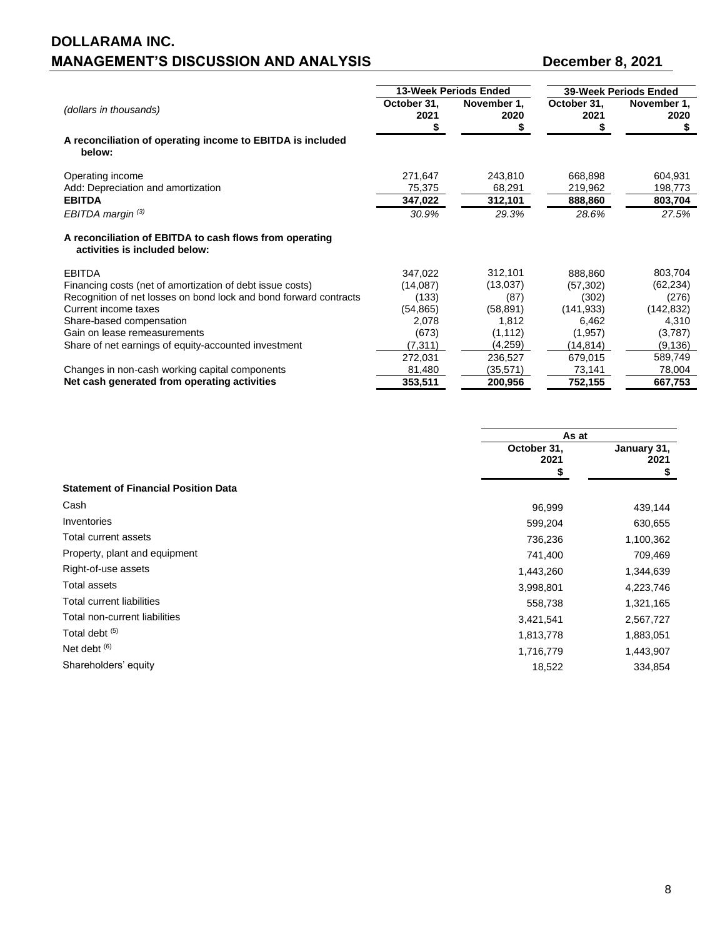|                                                                                          |                     | <b>13-Week Periods Ended</b> |                     | <b>39-Week Periods Ended</b> |
|------------------------------------------------------------------------------------------|---------------------|------------------------------|---------------------|------------------------------|
| (dollars in thousands)                                                                   | October 31,<br>2021 | November 1,<br>2020          | October 31,<br>2021 | November 1,<br>2020          |
| A reconciliation of operating income to EBITDA is included<br>below:                     |                     |                              |                     |                              |
| Operating income                                                                         | 271,647             | 243,810                      | 668,898             | 604,931                      |
| Add: Depreciation and amortization                                                       | 75,375              | 68,291                       | 219,962             | 198,773                      |
| <b>EBITDA</b>                                                                            | 347,022             | 312,101                      | 888,860             | 803,704                      |
| EBITDA margin $(3)$                                                                      | 30.9%               | 29.3%                        | 28.6%               | 27.5%                        |
| A reconciliation of EBITDA to cash flows from operating<br>activities is included below: |                     |                              |                     |                              |
| <b>EBITDA</b>                                                                            | 347,022             | 312,101                      | 888,860             | 803,704                      |
| Financing costs (net of amortization of debt issue costs)                                | (14,087)            | (13,037)                     | (57, 302)           | (62, 234)                    |
| Recognition of net losses on bond lock and bond forward contracts                        | (133)               | (87)                         | (302)               | (276)                        |
| Current income taxes                                                                     | (54, 865)           | (58, 891)                    | (141, 933)          | (142, 832)                   |
| Share-based compensation                                                                 | 2,078               | 1,812                        | 6,462               | 4,310                        |
| Gain on lease remeasurements                                                             | (673)               | (1, 112)                     | (1,957)             | (3,787)                      |
| Share of net earnings of equity-accounted investment                                     | (7, 311)            | (4,259)                      | (14, 814)           | (9, 136)                     |
|                                                                                          | 272,031             | 236,527                      | 679,015             | 589,749                      |
| Changes in non-cash working capital components                                           | 81,480              | (35,571)                     | 73,141              | 78,004                       |
| Net cash generated from operating activities                                             | 353,511             | 200,956                      | 752,155             | 667,753                      |

|                                             | As at                     |                           |
|---------------------------------------------|---------------------------|---------------------------|
|                                             | October 31,<br>2021<br>\$ | January 31,<br>2021<br>\$ |
| <b>Statement of Financial Position Data</b> |                           |                           |
| Cash                                        | 96,999                    | 439,144                   |
| Inventories                                 | 599,204                   | 630,655                   |
| Total current assets                        | 736,236                   | 1,100,362                 |
| Property, plant and equipment               | 741,400                   | 709,469                   |
| Right-of-use assets                         | 1,443,260                 | 1,344,639                 |
| Total assets                                | 3,998,801                 | 4,223,746                 |
| Total current liabilities                   | 558,738                   | 1,321,165                 |
| Total non-current liabilities               | 3,421,541                 | 2,567,727                 |
| Total debt <sup>(5)</sup>                   | 1,813,778                 | 1,883,051                 |
| Net debt $(6)$                              | 1,716,779                 | 1,443,907                 |
| Shareholders' equity                        | 18,522                    | 334,854                   |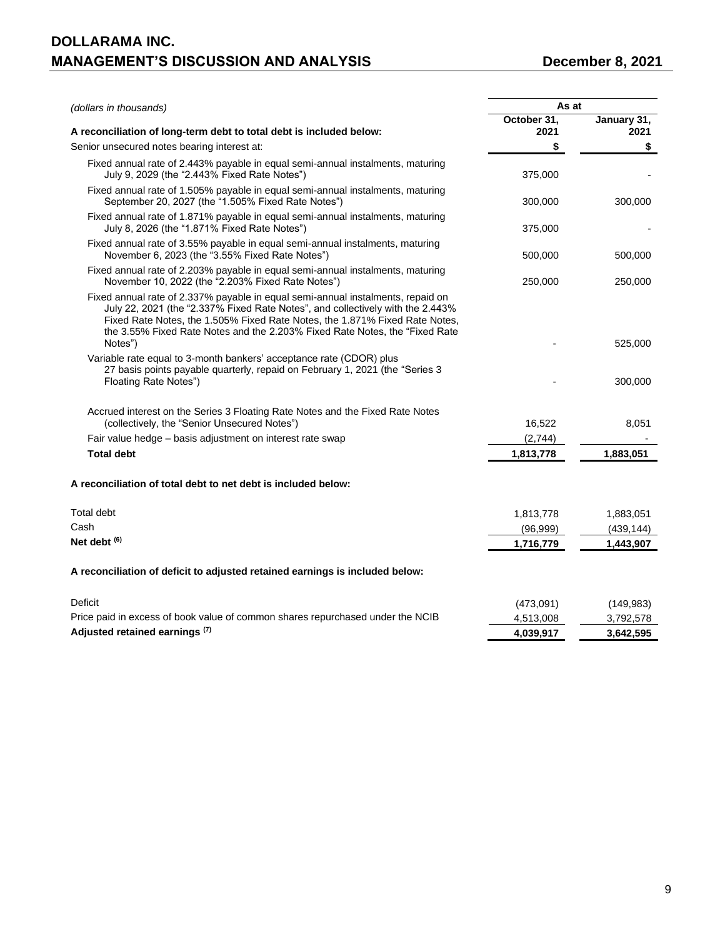| (dollars in thousands)                                                                                                                                                                                                                                                                                                                     | As at               |                     |
|--------------------------------------------------------------------------------------------------------------------------------------------------------------------------------------------------------------------------------------------------------------------------------------------------------------------------------------------|---------------------|---------------------|
| A reconciliation of long-term debt to total debt is included below:                                                                                                                                                                                                                                                                        | October 31,<br>2021 | January 31,<br>2021 |
| Senior unsecured notes bearing interest at:                                                                                                                                                                                                                                                                                                | \$                  | \$                  |
| Fixed annual rate of 2.443% payable in equal semi-annual instalments, maturing<br>July 9, 2029 (the "2.443% Fixed Rate Notes")                                                                                                                                                                                                             | 375,000             |                     |
| Fixed annual rate of 1.505% payable in equal semi-annual instalments, maturing<br>September 20, 2027 (the "1.505% Fixed Rate Notes")                                                                                                                                                                                                       | 300,000             | 300,000             |
| Fixed annual rate of 1.871% payable in equal semi-annual instalments, maturing<br>July 8, 2026 (the "1.871% Fixed Rate Notes")                                                                                                                                                                                                             | 375,000             |                     |
| Fixed annual rate of 3.55% payable in equal semi-annual instalments, maturing<br>November 6, 2023 (the "3.55% Fixed Rate Notes")                                                                                                                                                                                                           | 500,000             | 500,000             |
| Fixed annual rate of 2.203% payable in equal semi-annual instalments, maturing<br>November 10, 2022 (the "2.203% Fixed Rate Notes")                                                                                                                                                                                                        | 250,000             | 250,000             |
| Fixed annual rate of 2.337% payable in equal semi-annual instalments, repaid on<br>July 22, 2021 (the "2.337% Fixed Rate Notes", and collectively with the 2.443%<br>Fixed Rate Notes, the 1.505% Fixed Rate Notes, the 1.871% Fixed Rate Notes,<br>the 3.55% Fixed Rate Notes and the 2.203% Fixed Rate Notes, the "Fixed Rate<br>Notes") |                     | 525,000             |
| Variable rate equal to 3-month bankers' acceptance rate (CDOR) plus<br>27 basis points payable quarterly, repaid on February 1, 2021 (the "Series 3<br>Floating Rate Notes")                                                                                                                                                               |                     | 300,000             |
| Accrued interest on the Series 3 Floating Rate Notes and the Fixed Rate Notes<br>(collectively, the "Senior Unsecured Notes")                                                                                                                                                                                                              | 16,522              | 8,051               |
| Fair value hedge - basis adjustment on interest rate swap                                                                                                                                                                                                                                                                                  | (2,744)             |                     |
| <b>Total debt</b>                                                                                                                                                                                                                                                                                                                          | 1,813,778           | 1,883,051           |
| A reconciliation of total debt to net debt is included below:                                                                                                                                                                                                                                                                              |                     |                     |
| <b>Total debt</b>                                                                                                                                                                                                                                                                                                                          | 1,813,778           | 1,883,051           |
| Cash                                                                                                                                                                                                                                                                                                                                       | (96, 999)           | (439, 144)          |
| Net debt $(6)$                                                                                                                                                                                                                                                                                                                             | 1,716,779           | 1,443,907           |
| A reconciliation of deficit to adjusted retained earnings is included below:                                                                                                                                                                                                                                                               |                     |                     |
| Deficit                                                                                                                                                                                                                                                                                                                                    | (473,091)           | (149, 983)          |
| Price paid in excess of book value of common shares repurchased under the NCIB                                                                                                                                                                                                                                                             | 4,513,008           | 3,792,578           |
| Adjusted retained earnings (7)                                                                                                                                                                                                                                                                                                             | 4,039,917           | 3.642.595           |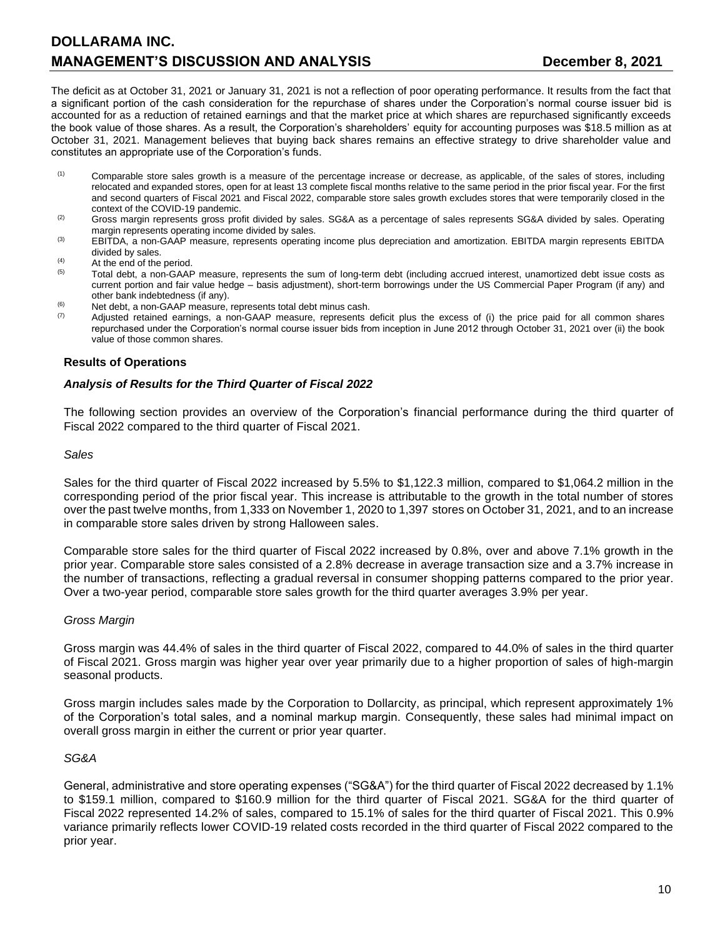The deficit as at October 31, 2021 or January 31, 2021 is not a reflection of poor operating performance. It results from the fact that a significant portion of the cash consideration for the repurchase of shares under the Corporation's normal course issuer bid is accounted for as a reduction of retained earnings and that the market price at which shares are repurchased significantly exceeds the book value of those shares. As a result, the Corporation's shareholders' equity for accounting purposes was \$18.5 million as at October 31, 2021. Management believes that buying back shares remains an effective strategy to drive shareholder value and constitutes an appropriate use of the Corporation's funds.

- (1) Comparable store sales growth is a measure of the percentage increase or decrease, as applicable, of the sales of stores, including relocated and expanded stores, open for at least 13 complete fiscal months relative to the same period in the prior fiscal year. For the first and second quarters of Fiscal 2021 and Fiscal 2022, comparable store sales growth excludes stores that were temporarily closed in the context of the COVID-19 pandemic.
- $(2)$  Gross margin represents gross profit divided by sales. SG&A as a percentage of sales represents SG&A divided by sales. Operating margin represents operating income divided by sales.
- (3) EBITDA, a non-GAAP measure, represents operating income plus depreciation and amortization. EBITDA margin represents EBITDA divided by sales.
- (4) At the end of the period.<br>  $\frac{(5)}{2}$  Total dobt a non GAAE
- Total debt, a non-GAAP measure, represents the sum of long-term debt (including accrued interest, unamortized debt issue costs as current portion and fair value hedge – basis adjustment), short-term borrowings under the US Commercial Paper Program (if any) and other bank indebtedness (if any).
- (6) Net debt, a non-GAAP measure, represents total debt minus cash.<br>(7) Adjusted retained earnings a non-GAAP measure represents of
- Adjusted retained earnings, a non-GAAP measure, represents deficit plus the excess of (i) the price paid for all common shares repurchased under the Corporation's normal course issuer bids from inception in June 2012 through October 31, 2021 over (ii) the book value of those common shares.

### **Results of Operations**

### *Analysis of Results for the Third Quarter of Fiscal 2022*

The following section provides an overview of the Corporation's financial performance during the third quarter of Fiscal 2022 compared to the third quarter of Fiscal 2021.

#### *Sales*

Sales for the third quarter of Fiscal 2022 increased by 5.5% to \$1,122.3 million, compared to \$1,064.2 million in the corresponding period of the prior fiscal year. This increase is attributable to the growth in the total number of stores over the past twelve months, from 1,333 on November 1, 2020 to 1,397 stores on October 31, 2021, and to an increase in comparable store sales driven by strong Halloween sales.

Comparable store sales for the third quarter of Fiscal 2022 increased by 0.8%, over and above 7.1% growth in the prior year. Comparable store sales consisted of a 2.8% decrease in average transaction size and a 3.7% increase in the number of transactions, reflecting a gradual reversal in consumer shopping patterns compared to the prior year. Over a two-year period, comparable store sales growth for the third quarter averages 3.9% per year.

#### *Gross Margin*

Gross margin was 44.4% of sales in the third quarter of Fiscal 2022, compared to 44.0% of sales in the third quarter of Fiscal 2021. Gross margin was higher year over year primarily due to a higher proportion of sales of high-margin seasonal products.

Gross margin includes sales made by the Corporation to Dollarcity, as principal, which represent approximately 1% of the Corporation's total sales, and a nominal markup margin. Consequently, these sales had minimal impact on overall gross margin in either the current or prior year quarter.

#### *SG&A*

General, administrative and store operating expenses ("SG&A") for the third quarter of Fiscal 2022 decreased by 1.1% to \$159.1 million, compared to \$160.9 million for the third quarter of Fiscal 2021. SG&A for the third quarter of Fiscal 2022 represented 14.2% of sales, compared to 15.1% of sales for the third quarter of Fiscal 2021. This 0.9% variance primarily reflects lower COVID-19 related costs recorded in the third quarter of Fiscal 2022 compared to the prior year.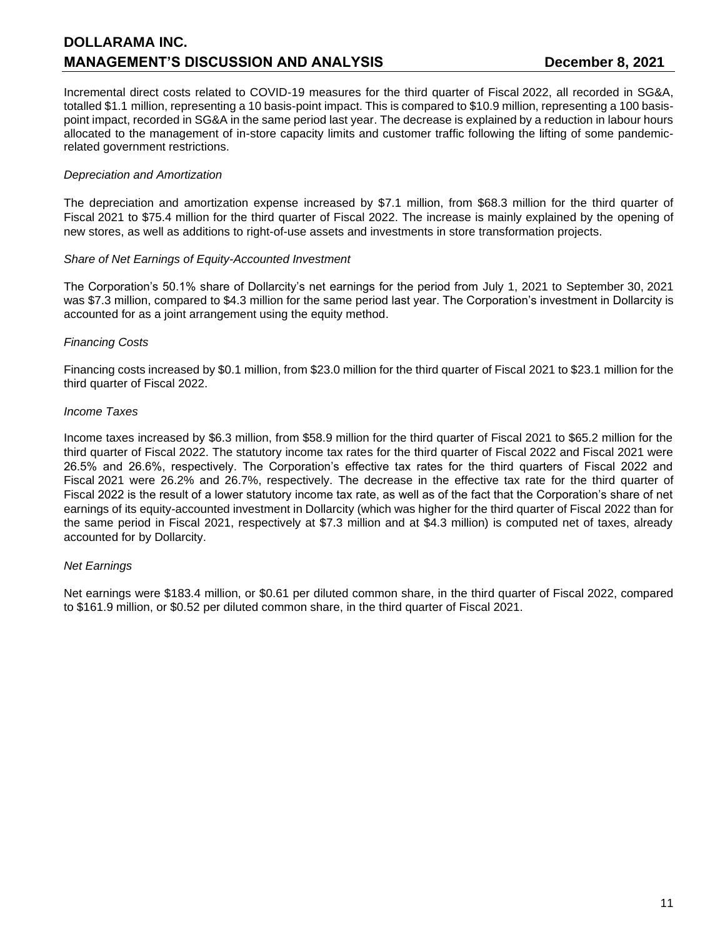Incremental direct costs related to COVID-19 measures for the third quarter of Fiscal 2022, all recorded in SG&A, totalled \$1.1 million, representing a 10 basis-point impact. This is compared to \$10.9 million, representing a 100 basispoint impact, recorded in SG&A in the same period last year. The decrease is explained by a reduction in labour hours allocated to the management of in-store capacity limits and customer traffic following the lifting of some pandemicrelated government restrictions.

### *Depreciation and Amortization*

The depreciation and amortization expense increased by \$7.1 million, from \$68.3 million for the third quarter of Fiscal 2021 to \$75.4 million for the third quarter of Fiscal 2022. The increase is mainly explained by the opening of new stores, as well as additions to right-of-use assets and investments in store transformation projects.

### *Share of Net Earnings of Equity-Accounted Investment*

The Corporation's 50.1% share of Dollarcity's net earnings for the period from July 1, 2021 to September 30, 2021 was \$7.3 million, compared to \$4.3 million for the same period last year. The Corporation's investment in Dollarcity is accounted for as a joint arrangement using the equity method.

# *Financing Costs*

Financing costs increased by \$0.1 million, from \$23.0 million for the third quarter of Fiscal 2021 to \$23.1 million for the third quarter of Fiscal 2022.

### *Income Taxes*

Income taxes increased by \$6.3 million, from \$58.9 million for the third quarter of Fiscal 2021 to \$65.2 million for the third quarter of Fiscal 2022. The statutory income tax rates for the third quarter of Fiscal 2022 and Fiscal 2021 were 26.5% and 26.6%, respectively. The Corporation's effective tax rates for the third quarters of Fiscal 2022 and Fiscal 2021 were 26.2% and 26.7%, respectively. The decrease in the effective tax rate for the third quarter of Fiscal 2022 is the result of a lower statutory income tax rate, as well as of the fact that the Corporation's share of net earnings of its equity-accounted investment in Dollarcity (which was higher for the third quarter of Fiscal 2022 than for the same period in Fiscal 2021, respectively at \$7.3 million and at \$4.3 million) is computed net of taxes, already accounted for by Dollarcity.

# *Net Earnings*

Net earnings were \$183.4 million, or \$0.61 per diluted common share, in the third quarter of Fiscal 2022, compared to \$161.9 million, or \$0.52 per diluted common share, in the third quarter of Fiscal 2021.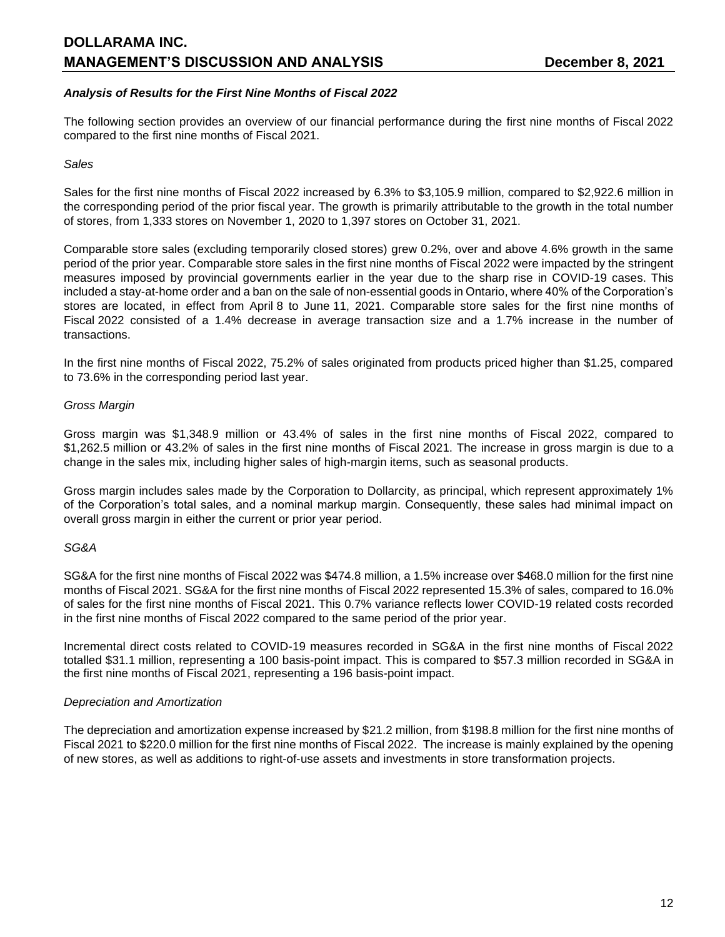# *Analysis of Results for the First Nine Months of Fiscal 2022*

The following section provides an overview of our financial performance during the first nine months of Fiscal 2022 compared to the first nine months of Fiscal 2021.

#### *Sales*

Sales for the first nine months of Fiscal 2022 increased by 6.3% to \$3,105.9 million, compared to \$2,922.6 million in the corresponding period of the prior fiscal year. The growth is primarily attributable to the growth in the total number of stores, from 1,333 stores on November 1, 2020 to 1,397 stores on October 31, 2021.

Comparable store sales (excluding temporarily closed stores) grew 0.2%, over and above 4.6% growth in the same period of the prior year. Comparable store sales in the first nine months of Fiscal 2022 were impacted by the stringent measures imposed by provincial governments earlier in the year due to the sharp rise in COVID-19 cases. This included a stay-at-home order and a ban on the sale of non-essential goods in Ontario, where 40% of the Corporation's stores are located, in effect from April 8 to June 11, 2021. Comparable store sales for the first nine months of Fiscal 2022 consisted of a 1.4% decrease in average transaction size and a 1.7% increase in the number of transactions.

In the first nine months of Fiscal 2022, 75.2% of sales originated from products priced higher than \$1.25, compared to 73.6% in the corresponding period last year.

#### *Gross Margin*

Gross margin was \$1,348.9 million or 43.4% of sales in the first nine months of Fiscal 2022, compared to \$1,262.5 million or 43.2% of sales in the first nine months of Fiscal 2021. The increase in gross margin is due to a change in the sales mix, including higher sales of high-margin items, such as seasonal products.

Gross margin includes sales made by the Corporation to Dollarcity, as principal, which represent approximately 1% of the Corporation's total sales, and a nominal markup margin. Consequently, these sales had minimal impact on overall gross margin in either the current or prior year period.

#### *SG&A*

SG&A for the first nine months of Fiscal 2022 was \$474.8 million, a 1.5% increase over \$468.0 million for the first nine months of Fiscal 2021. SG&A for the first nine months of Fiscal 2022 represented 15.3% of sales, compared to 16.0% of sales for the first nine months of Fiscal 2021. This 0.7% variance reflects lower COVID-19 related costs recorded in the first nine months of Fiscal 2022 compared to the same period of the prior year.

Incremental direct costs related to COVID-19 measures recorded in SG&A in the first nine months of Fiscal 2022 totalled \$31.1 million, representing a 100 basis-point impact. This is compared to \$57.3 million recorded in SG&A in the first nine months of Fiscal 2021, representing a 196 basis-point impact.

#### *Depreciation and Amortization*

The depreciation and amortization expense increased by \$21.2 million, from \$198.8 million for the first nine months of Fiscal 2021 to \$220.0 million for the first nine months of Fiscal 2022. The increase is mainly explained by the opening of new stores, as well as additions to right-of-use assets and investments in store transformation projects.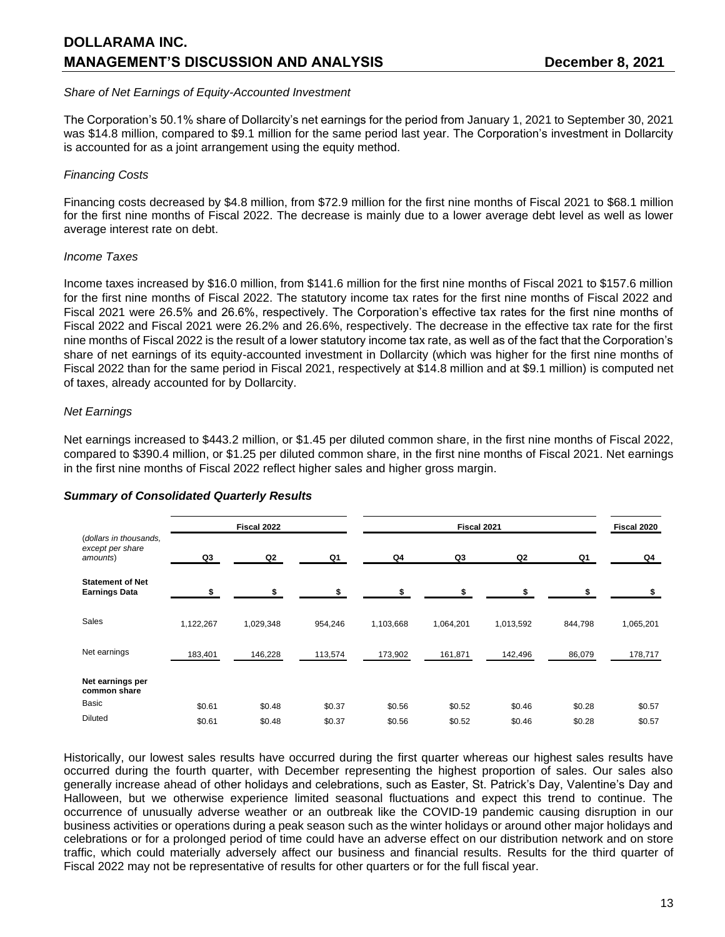#### *Share of Net Earnings of Equity-Accounted Investment*

The Corporation's 50.1% share of Dollarcity's net earnings for the period from January 1, 2021 to September 30, 2021 was \$14.8 million, compared to \$9.1 million for the same period last year. The Corporation's investment in Dollarcity is accounted for as a joint arrangement using the equity method.

### *Financing Costs*

Financing costs decreased by \$4.8 million, from \$72.9 million for the first nine months of Fiscal 2021 to \$68.1 million for the first nine months of Fiscal 2022. The decrease is mainly due to a lower average debt level as well as lower average interest rate on debt.

### *Income Taxes*

Income taxes increased by \$16.0 million, from \$141.6 million for the first nine months of Fiscal 2021 to \$157.6 million for the first nine months of Fiscal 2022. The statutory income tax rates for the first nine months of Fiscal 2022 and Fiscal 2021 were 26.5% and 26.6%, respectively. The Corporation's effective tax rates for the first nine months of Fiscal 2022 and Fiscal 2021 were 26.2% and 26.6%, respectively. The decrease in the effective tax rate for the first nine months of Fiscal 2022 is the result of a lower statutory income tax rate, as well as of the fact that the Corporation's share of net earnings of its equity-accounted investment in Dollarcity (which was higher for the first nine months of Fiscal 2022 than for the same period in Fiscal 2021, respectively at \$14.8 million and at \$9.1 million) is computed net of taxes, already accounted for by Dollarcity.

### *Net Earnings*

Net earnings increased to \$443.2 million, or \$1.45 per diluted common share, in the first nine months of Fiscal 2022, compared to \$390.4 million, or \$1.25 per diluted common share, in the first nine months of Fiscal 2021. Net earnings in the first nine months of Fiscal 2022 reflect higher sales and higher gross margin.

|                                                        |           | Fiscal 2022 |         |           | Fiscal 2021 |           |         |           |
|--------------------------------------------------------|-----------|-------------|---------|-----------|-------------|-----------|---------|-----------|
| (dollars in thousands,<br>except per share<br>amounts) | Q3        | Q2          | Q1      | Q4        | Q3          | Q2        | Q1      | Q4        |
| <b>Statement of Net</b><br><b>Earnings Data</b>        |           | ¢           |         | \$.       | \$.         |           |         |           |
| <b>Sales</b>                                           | 1,122,267 | 1,029,348   | 954,246 | 1,103,668 | 1,064,201   | 1,013,592 | 844,798 | 1,065,201 |
| Net earnings                                           | 183,401   | 146,228     | 113,574 | 173,902   | 161,871     | 142,496   | 86,079  | 178,717   |
| Net earnings per<br>common share                       |           |             |         |           |             |           |         |           |
| Basic                                                  | \$0.61    | \$0.48      | \$0.37  | \$0.56    | \$0.52      | \$0.46    | \$0.28  | \$0.57    |
| <b>Diluted</b>                                         | \$0.61    | \$0.48      | \$0.37  | \$0.56    | \$0.52      | \$0.46    | \$0.28  | \$0.57    |

#### *Summary of Consolidated Quarterly Results*

Historically, our lowest sales results have occurred during the first quarter whereas our highest sales results have occurred during the fourth quarter, with December representing the highest proportion of sales. Our sales also generally increase ahead of other holidays and celebrations, such as Easter, St. Patrick's Day, Valentine's Day and Halloween, but we otherwise experience limited seasonal fluctuations and expect this trend to continue. The occurrence of unusually adverse weather or an outbreak like the COVID-19 pandemic causing disruption in our business activities or operations during a peak season such as the winter holidays or around other major holidays and celebrations or for a prolonged period of time could have an adverse effect on our distribution network and on store traffic, which could materially adversely affect our business and financial results. Results for the third quarter of Fiscal 2022 may not be representative of results for other quarters or for the full fiscal year.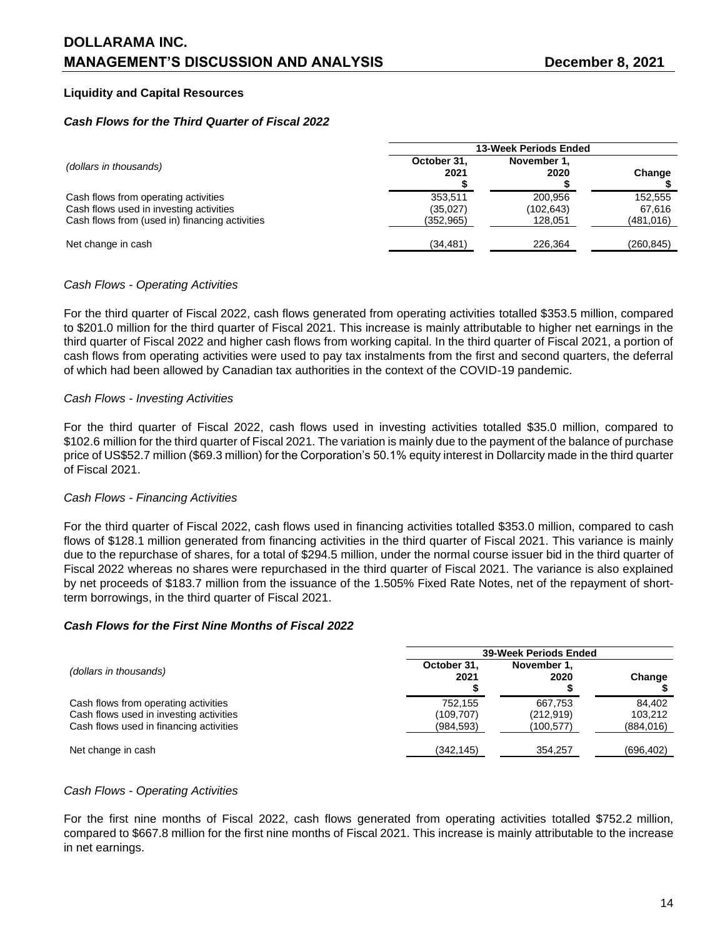# **Liquidity and Capital Resources**

#### *Cash Flows for the Third Quarter of Fiscal 2022*

|                                                                                                                                   | 13-Week Periods Ended             |                                 |                                 |  |  |  |
|-----------------------------------------------------------------------------------------------------------------------------------|-----------------------------------|---------------------------------|---------------------------------|--|--|--|
| (dollars in thousands)                                                                                                            | October 31,<br>2021               | November 1.<br>2020             | Change                          |  |  |  |
| Cash flows from operating activities<br>Cash flows used in investing activities<br>Cash flows from (used in) financing activities | 353.511<br>(35,027)<br>(352, 965) | 200.956<br>(102,643)<br>128.051 | 152.555<br>67.616<br>(481, 016) |  |  |  |
| Net change in cash                                                                                                                | (34, 481)                         | 226.364                         | (260, 845)                      |  |  |  |

### *Cash Flows - Operating Activities*

For the third quarter of Fiscal 2022, cash flows generated from operating activities totalled \$353.5 million, compared to \$201.0 million for the third quarter of Fiscal 2021. This increase is mainly attributable to higher net earnings in the third quarter of Fiscal 2022 and higher cash flows from working capital. In the third quarter of Fiscal 2021, a portion of cash flows from operating activities were used to pay tax instalments from the first and second quarters, the deferral of which had been allowed by Canadian tax authorities in the context of the COVID-19 pandemic.

#### *Cash Flows - Investing Activities*

For the third quarter of Fiscal 2022, cash flows used in investing activities totalled \$35.0 million, compared to \$102.6 million for the third quarter of Fiscal 2021. The variation is mainly due to the payment of the balance of purchase price of US\$52.7 million (\$69.3 million) for the Corporation's 50.1% equity interest in Dollarcity made in the third quarter of Fiscal 2021.

#### *Cash Flows - Financing Activities*

For the third quarter of Fiscal 2022, cash flows used in financing activities totalled \$353.0 million, compared to cash flows of \$128.1 million generated from financing activities in the third quarter of Fiscal 2021. This variance is mainly due to the repurchase of shares, for a total of \$294.5 million, under the normal course issuer bid in the third quarter of Fiscal 2022 whereas no shares were repurchased in the third quarter of Fiscal 2021. The variance is also explained by net proceeds of \$183.7 million from the issuance of the 1.505% Fixed Rate Notes, net of the repayment of shortterm borrowings, in the third quarter of Fiscal 2021.

### *Cash Flows for the First Nine Months of Fiscal 2022*

|                                                                                                                            | <b>39-Week Periods Ended</b>        |                                    |                                 |  |  |  |
|----------------------------------------------------------------------------------------------------------------------------|-------------------------------------|------------------------------------|---------------------------------|--|--|--|
| (dollars in thousands)                                                                                                     | October 31.<br>2021                 | November 1.<br>2020                | Change                          |  |  |  |
| Cash flows from operating activities<br>Cash flows used in investing activities<br>Cash flows used in financing activities | 752.155<br>(109, 707)<br>(984, 593) | 667.753<br>(212, 919)<br>(100,577) | 84.402<br>103.212<br>(884, 016) |  |  |  |
| Net change in cash                                                                                                         | (342, 145)                          | 354,257                            | (696, 402)                      |  |  |  |

#### *Cash Flows - Operating Activities*

For the first nine months of Fiscal 2022, cash flows generated from operating activities totalled \$752.2 million, compared to \$667.8 million for the first nine months of Fiscal 2021. This increase is mainly attributable to the increase in net earnings.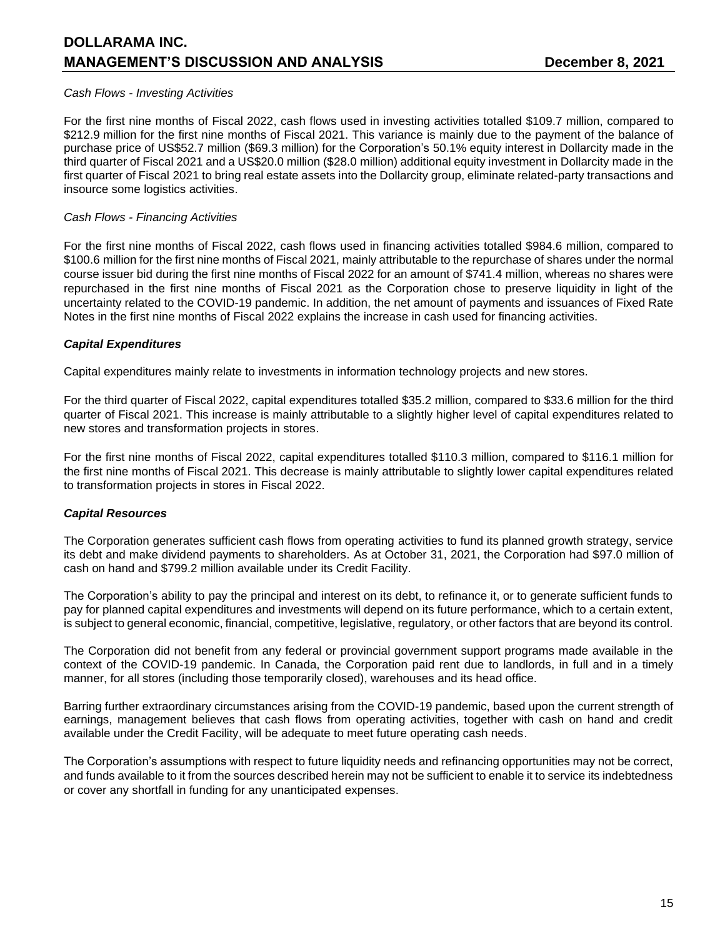# *Cash Flows - Investing Activities*

For the first nine months of Fiscal 2022, cash flows used in investing activities totalled \$109.7 million, compared to \$212.9 million for the first nine months of Fiscal 2021. This variance is mainly due to the payment of the balance of purchase price of US\$52.7 million (\$69.3 million) for the Corporation's 50.1% equity interest in Dollarcity made in the third quarter of Fiscal 2021 and a US\$20.0 million (\$28.0 million) additional equity investment in Dollarcity made in the first quarter of Fiscal 2021 to bring real estate assets into the Dollarcity group, eliminate related-party transactions and insource some logistics activities.

### *Cash Flows - Financing Activities*

For the first nine months of Fiscal 2022, cash flows used in financing activities totalled \$984.6 million, compared to \$100.6 million for the first nine months of Fiscal 2021, mainly attributable to the repurchase of shares under the normal course issuer bid during the first nine months of Fiscal 2022 for an amount of \$741.4 million, whereas no shares were repurchased in the first nine months of Fiscal 2021 as the Corporation chose to preserve liquidity in light of the uncertainty related to the COVID-19 pandemic. In addition, the net amount of payments and issuances of Fixed Rate Notes in the first nine months of Fiscal 2022 explains the increase in cash used for financing activities.

### *Capital Expenditures*

Capital expenditures mainly relate to investments in information technology projects and new stores.

For the third quarter of Fiscal 2022, capital expenditures totalled \$35.2 million, compared to \$33.6 million for the third quarter of Fiscal 2021. This increase is mainly attributable to a slightly higher level of capital expenditures related to new stores and transformation projects in stores.

For the first nine months of Fiscal 2022, capital expenditures totalled \$110.3 million, compared to \$116.1 million for the first nine months of Fiscal 2021. This decrease is mainly attributable to slightly lower capital expenditures related to transformation projects in stores in Fiscal 2022.

# *Capital Resources*

The Corporation generates sufficient cash flows from operating activities to fund its planned growth strategy, service its debt and make dividend payments to shareholders. As at October 31, 2021, the Corporation had \$97.0 million of cash on hand and \$799.2 million available under its Credit Facility.

The Corporation's ability to pay the principal and interest on its debt, to refinance it, or to generate sufficient funds to pay for planned capital expenditures and investments will depend on its future performance, which to a certain extent, is subject to general economic, financial, competitive, legislative, regulatory, or other factors that are beyond its control.

The Corporation did not benefit from any federal or provincial government support programs made available in the context of the COVID-19 pandemic. In Canada, the Corporation paid rent due to landlords, in full and in a timely manner, for all stores (including those temporarily closed), warehouses and its head office.

Barring further extraordinary circumstances arising from the COVID-19 pandemic, based upon the current strength of earnings, management believes that cash flows from operating activities, together with cash on hand and credit available under the Credit Facility, will be adequate to meet future operating cash needs.

The Corporation's assumptions with respect to future liquidity needs and refinancing opportunities may not be correct, and funds available to it from the sources described herein may not be sufficient to enable it to service its indebtedness or cover any shortfall in funding for any unanticipated expenses.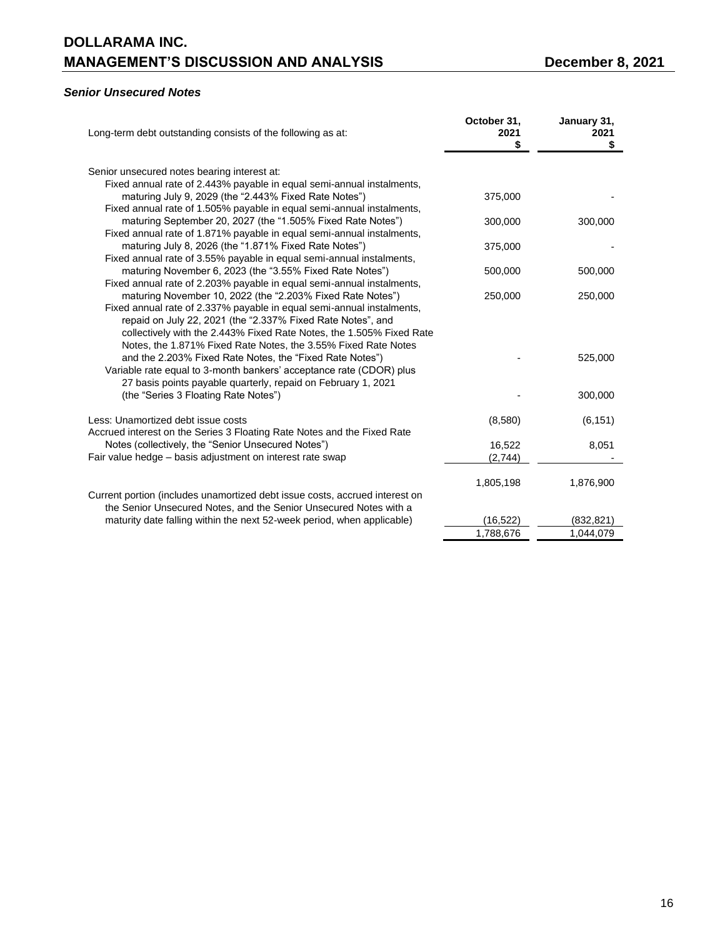# *Senior Unsecured Notes*

| Long-term debt outstanding consists of the following as at:                                                                   | October 31,<br>2021<br>\$ | January 31,<br>2021<br>\$ |
|-------------------------------------------------------------------------------------------------------------------------------|---------------------------|---------------------------|
| Senior unsecured notes bearing interest at:                                                                                   |                           |                           |
| Fixed annual rate of 2.443% payable in equal semi-annual instalments,                                                         |                           |                           |
| maturing July 9, 2029 (the "2.443% Fixed Rate Notes")                                                                         | 375,000                   |                           |
| Fixed annual rate of 1.505% payable in equal semi-annual instalments,                                                         |                           |                           |
| maturing September 20, 2027 (the "1.505% Fixed Rate Notes")                                                                   | 300,000                   | 300,000                   |
| Fixed annual rate of 1.871% payable in equal semi-annual instalments,                                                         |                           |                           |
| maturing July 8, 2026 (the "1.871% Fixed Rate Notes")<br>Fixed annual rate of 3.55% payable in equal semi-annual instalments, | 375,000                   |                           |
| maturing November 6, 2023 (the "3.55% Fixed Rate Notes")                                                                      | 500,000                   | 500,000                   |
| Fixed annual rate of 2.203% payable in equal semi-annual instalments,                                                         |                           |                           |
| maturing November 10, 2022 (the "2.203% Fixed Rate Notes")                                                                    | 250,000                   | 250,000                   |
| Fixed annual rate of 2.337% payable in equal semi-annual instalments,                                                         |                           |                           |
| repaid on July 22, 2021 (the "2.337% Fixed Rate Notes", and                                                                   |                           |                           |
| collectively with the 2.443% Fixed Rate Notes, the 1.505% Fixed Rate                                                          |                           |                           |
| Notes, the 1.871% Fixed Rate Notes, the 3.55% Fixed Rate Notes                                                                |                           |                           |
| and the 2.203% Fixed Rate Notes, the "Fixed Rate Notes")                                                                      |                           | 525,000                   |
| Variable rate equal to 3-month bankers' acceptance rate (CDOR) plus                                                           |                           |                           |
| 27 basis points payable quarterly, repaid on February 1, 2021                                                                 |                           | 300,000                   |
| (the "Series 3 Floating Rate Notes")                                                                                          |                           |                           |
| Less: Unamortized debt issue costs                                                                                            | (8,580)                   | (6, 151)                  |
| Accrued interest on the Series 3 Floating Rate Notes and the Fixed Rate                                                       |                           |                           |
| Notes (collectively, the "Senior Unsecured Notes")                                                                            | 16,522                    | 8,051                     |
| Fair value hedge - basis adjustment on interest rate swap                                                                     | (2,744)                   |                           |
|                                                                                                                               |                           |                           |
| Current portion (includes unamortized debt issue costs, accrued interest on                                                   | 1,805,198                 | 1,876,900                 |
| the Senior Unsecured Notes, and the Senior Unsecured Notes with a                                                             |                           |                           |
| maturity date falling within the next 52-week period, when applicable)                                                        | (16, 522)                 | (832, 821)                |
|                                                                                                                               | 1,788,676                 | 1,044,079                 |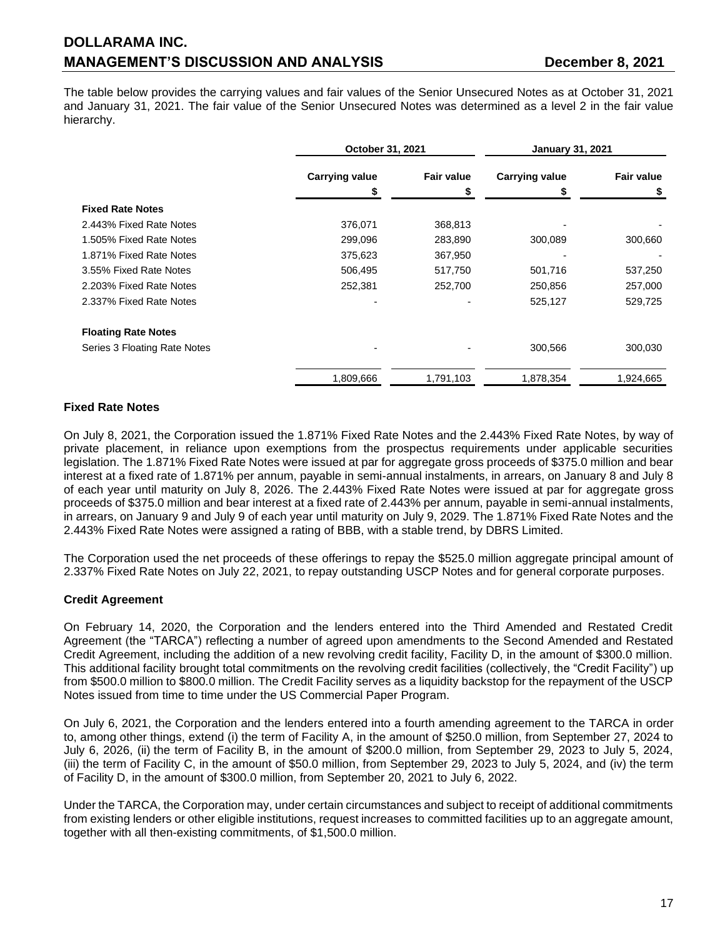The table below provides the carrying values and fair values of the Senior Unsecured Notes as at October 31, 2021 and January 31, 2021. The fair value of the Senior Unsecured Notes was determined as a level 2 in the fair value hierarchy.

|                              | October 31, 2021      |                   | <b>January 31, 2021</b> |                   |  |
|------------------------------|-----------------------|-------------------|-------------------------|-------------------|--|
|                              | <b>Carrying value</b> | <b>Fair value</b> | <b>Carrying value</b>   | <b>Fair value</b> |  |
|                              |                       |                   |                         |                   |  |
| <b>Fixed Rate Notes</b>      |                       |                   |                         |                   |  |
| 2.443% Fixed Rate Notes      | 376,071               | 368,813           |                         |                   |  |
| 1.505% Fixed Rate Notes      | 299,096               | 283,890           | 300,089                 | 300,660           |  |
| 1.871% Fixed Rate Notes      | 375,623               | 367,950           |                         |                   |  |
| 3.55% Fixed Rate Notes       | 506,495               | 517,750           | 501,716                 | 537,250           |  |
| 2.203% Fixed Rate Notes      | 252,381               | 252,700           | 250,856                 | 257,000           |  |
| 2.337% Fixed Rate Notes      |                       |                   | 525,127                 | 529,725           |  |
| <b>Floating Rate Notes</b>   |                       |                   |                         |                   |  |
| Series 3 Floating Rate Notes |                       |                   | 300,566                 | 300,030           |  |
|                              | 1,809,666             | 1,791,103         | 1,878,354               | 1,924,665         |  |

# **Fixed Rate Notes**

On July 8, 2021, the Corporation issued the 1.871% Fixed Rate Notes and the 2.443% Fixed Rate Notes, by way of private placement, in reliance upon exemptions from the prospectus requirements under applicable securities legislation. The 1.871% Fixed Rate Notes were issued at par for aggregate gross proceeds of \$375.0 million and bear interest at a fixed rate of 1.871% per annum, payable in semi-annual instalments, in arrears, on January 8 and July 8 of each year until maturity on July 8, 2026. The 2.443% Fixed Rate Notes were issued at par for aggregate gross proceeds of \$375.0 million and bear interest at a fixed rate of 2.443% per annum, payable in semi-annual instalments, in arrears, on January 9 and July 9 of each year until maturity on July 9, 2029. The 1.871% Fixed Rate Notes and the 2.443% Fixed Rate Notes were assigned a rating of BBB, with a stable trend, by DBRS Limited.

The Corporation used the net proceeds of these offerings to repay the \$525.0 million aggregate principal amount of 2.337% Fixed Rate Notes on July 22, 2021, to repay outstanding USCP Notes and for general corporate purposes.

# **Credit Agreement**

On February 14, 2020, the Corporation and the lenders entered into the Third Amended and Restated Credit Agreement (the "TARCA") reflecting a number of agreed upon amendments to the Second Amended and Restated Credit Agreement, including the addition of a new revolving credit facility, Facility D, in the amount of \$300.0 million. This additional facility brought total commitments on the revolving credit facilities (collectively, the "Credit Facility") up from \$500.0 million to \$800.0 million. The Credit Facility serves as a liquidity backstop for the repayment of the USCP Notes issued from time to time under the US Commercial Paper Program.

On July 6, 2021, the Corporation and the lenders entered into a fourth amending agreement to the TARCA in order to, among other things, extend (i) the term of Facility A, in the amount of \$250.0 million, from September 27, 2024 to July 6, 2026, (ii) the term of Facility B, in the amount of \$200.0 million, from September 29, 2023 to July 5, 2024, (iii) the term of Facility C, in the amount of \$50.0 million, from September 29, 2023 to July 5, 2024, and (iv) the term of Facility D, in the amount of \$300.0 million, from September 20, 2021 to July 6, 2022.

Under the TARCA, the Corporation may, under certain circumstances and subject to receipt of additional commitments from existing lenders or other eligible institutions, request increases to committed facilities up to an aggregate amount, together with all then-existing commitments, of \$1,500.0 million.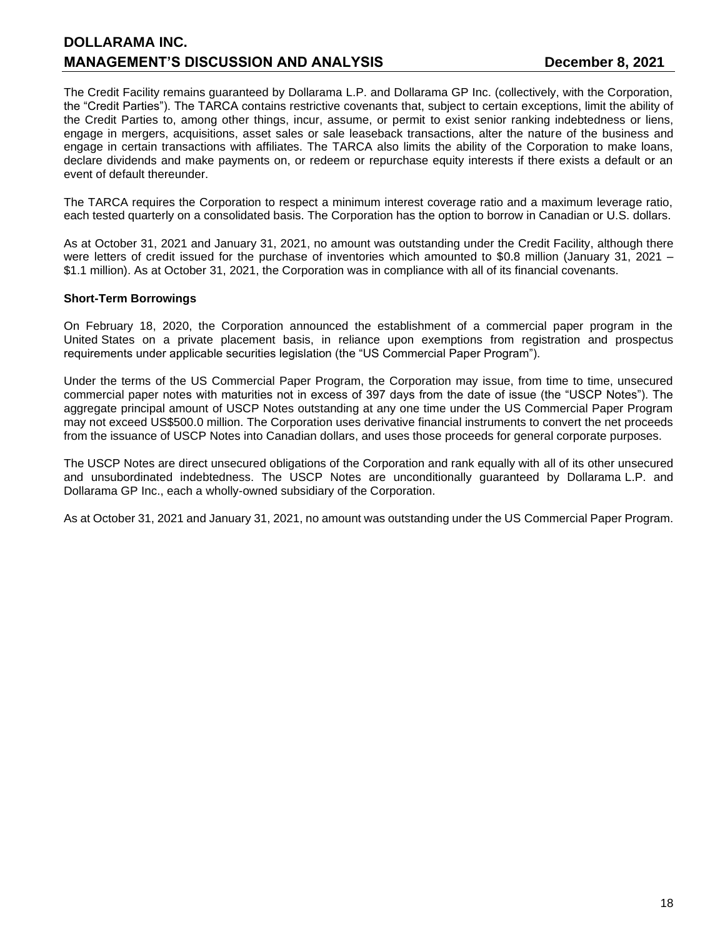The Credit Facility remains guaranteed by Dollarama L.P. and Dollarama GP Inc. (collectively, with the Corporation, the "Credit Parties"). The TARCA contains restrictive covenants that, subject to certain exceptions, limit the ability of the Credit Parties to, among other things, incur, assume, or permit to exist senior ranking indebtedness or liens, engage in mergers, acquisitions, asset sales or sale leaseback transactions, alter the nature of the business and engage in certain transactions with affiliates. The TARCA also limits the ability of the Corporation to make loans, declare dividends and make payments on, or redeem or repurchase equity interests if there exists a default or an event of default thereunder.

The TARCA requires the Corporation to respect a minimum interest coverage ratio and a maximum leverage ratio, each tested quarterly on a consolidated basis. The Corporation has the option to borrow in Canadian or U.S. dollars.

As at October 31, 2021 and January 31, 2021, no amount was outstanding under the Credit Facility, although there were letters of credit issued for the purchase of inventories which amounted to \$0.8 million (January 31, 2021 – \$1.1 million). As at October 31, 2021, the Corporation was in compliance with all of its financial covenants.

### **Short-Term Borrowings**

On February 18, 2020, the Corporation announced the establishment of a commercial paper program in the United States on a private placement basis, in reliance upon exemptions from registration and prospectus requirements under applicable securities legislation (the "US Commercial Paper Program").

Under the terms of the US Commercial Paper Program, the Corporation may issue, from time to time, unsecured commercial paper notes with maturities not in excess of 397 days from the date of issue (the "USCP Notes"). The aggregate principal amount of USCP Notes outstanding at any one time under the US Commercial Paper Program may not exceed US\$500.0 million. The Corporation uses derivative financial instruments to convert the net proceeds from the issuance of USCP Notes into Canadian dollars, and uses those proceeds for general corporate purposes.

The USCP Notes are direct unsecured obligations of the Corporation and rank equally with all of its other unsecured and unsubordinated indebtedness. The USCP Notes are unconditionally guaranteed by Dollarama L.P. and Dollarama GP Inc., each a wholly-owned subsidiary of the Corporation.

As at October 31, 2021 and January 31, 2021, no amount was outstanding under the US Commercial Paper Program.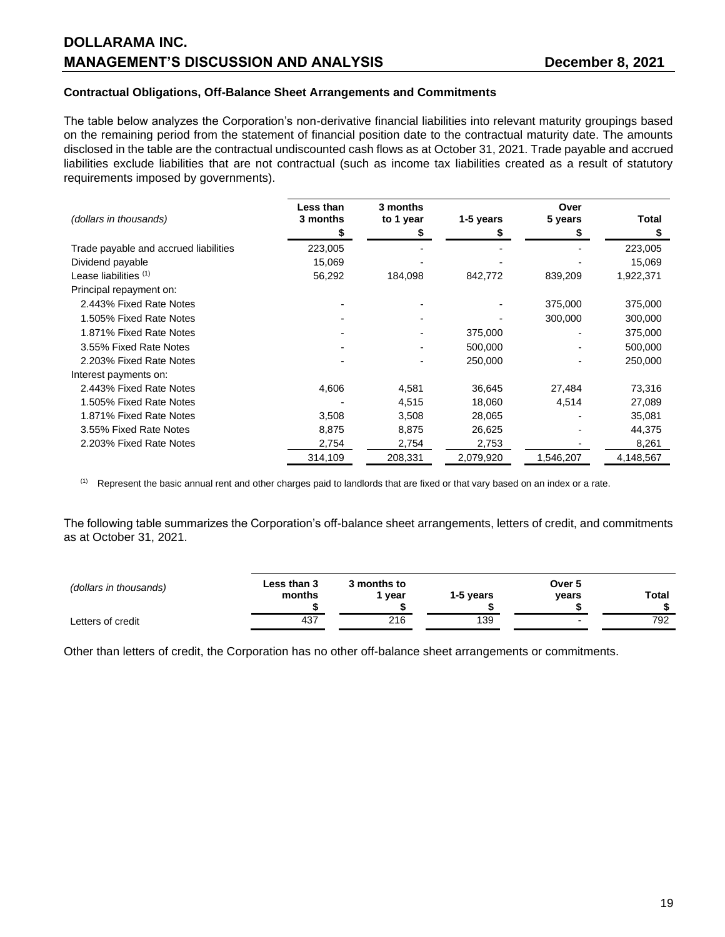#### **Contractual Obligations, Off-Balance Sheet Arrangements and Commitments**

The table below analyzes the Corporation's non-derivative financial liabilities into relevant maturity groupings based on the remaining period from the statement of financial position date to the contractual maturity date. The amounts disclosed in the table are the contractual undiscounted cash flows as at October 31, 2021. Trade payable and accrued liabilities exclude liabilities that are not contractual (such as income tax liabilities created as a result of statutory requirements imposed by governments).

|                                       | Less than | 3 months  |           | Over      |           |
|---------------------------------------|-----------|-----------|-----------|-----------|-----------|
| (dollars in thousands)                | 3 months  | to 1 year | 1-5 years | 5 years   | Total     |
|                                       |           |           |           |           |           |
| Trade payable and accrued liabilities | 223,005   |           |           |           | 223,005   |
| Dividend payable                      | 15,069    |           |           |           | 15,069    |
| Lease liabilities <sup>(1)</sup>      | 56,292    | 184,098   | 842,772   | 839,209   | 1,922,371 |
| Principal repayment on:               |           |           |           |           |           |
| 2.443% Fixed Rate Notes               |           |           |           | 375,000   | 375,000   |
| 1.505% Fixed Rate Notes               |           |           |           | 300,000   | 300,000   |
| 1.871% Fixed Rate Notes               |           |           | 375,000   |           | 375,000   |
| 3.55% Fixed Rate Notes                |           |           | 500,000   |           | 500,000   |
| 2.203% Fixed Rate Notes               |           |           | 250,000   |           | 250,000   |
| Interest payments on:                 |           |           |           |           |           |
| 2.443% Fixed Rate Notes               | 4,606     | 4,581     | 36,645    | 27,484    | 73,316    |
| 1.505% Fixed Rate Notes               |           | 4,515     | 18,060    | 4,514     | 27,089    |
| 1.871% Fixed Rate Notes               | 3,508     | 3,508     | 28,065    |           | 35,081    |
| 3.55% Fixed Rate Notes                | 8,875     | 8,875     | 26,625    |           | 44,375    |
| 2.203% Fixed Rate Notes               | 2,754     | 2,754     | 2,753     |           | 8,261     |
|                                       | 314,109   | 208,331   | 2,079,920 | 1,546,207 | 4,148,567 |

 $<sup>(1)</sup>$  Represent the basic annual rent and other charges paid to landlords that are fixed or that vary based on an index or a rate.</sup>

The following table summarizes the Corporation's off-balance sheet arrangements, letters of credit, and commitments as at October 31, 2021.

| (dollars in thousands) | Less than 3<br>months | 3 months to<br>vear | 1-5 years | Over 5<br>vears | Total |
|------------------------|-----------------------|---------------------|-----------|-----------------|-------|
| Letters of credit      | 437                   | 216                 | 139       |                 | 792   |

Other than letters of credit, the Corporation has no other off-balance sheet arrangements or commitments.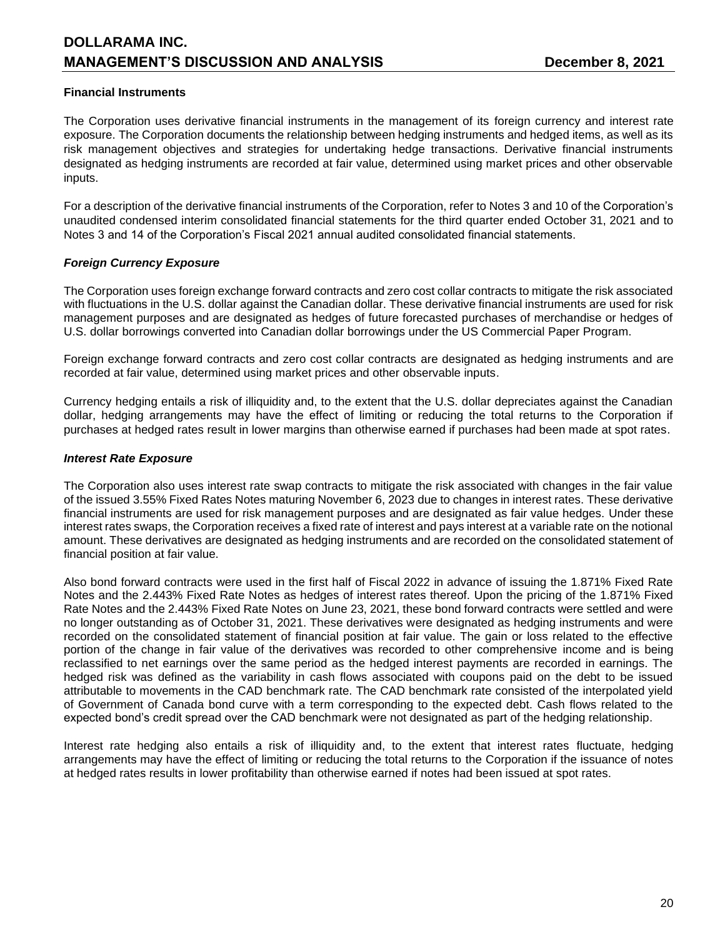# **Financial Instruments**

The Corporation uses derivative financial instruments in the management of its foreign currency and interest rate exposure. The Corporation documents the relationship between hedging instruments and hedged items, as well as its risk management objectives and strategies for undertaking hedge transactions. Derivative financial instruments designated as hedging instruments are recorded at fair value, determined using market prices and other observable inputs.

For a description of the derivative financial instruments of the Corporation, refer to Notes 3 and 10 of the Corporation's unaudited condensed interim consolidated financial statements for the third quarter ended October 31, 2021 and to Notes 3 and 14 of the Corporation's Fiscal 2021 annual audited consolidated financial statements.

# *Foreign Currency Exposure*

The Corporation uses foreign exchange forward contracts and zero cost collar contracts to mitigate the risk associated with fluctuations in the U.S. dollar against the Canadian dollar. These derivative financial instruments are used for risk management purposes and are designated as hedges of future forecasted purchases of merchandise or hedges of U.S. dollar borrowings converted into Canadian dollar borrowings under the US Commercial Paper Program.

Foreign exchange forward contracts and zero cost collar contracts are designated as hedging instruments and are recorded at fair value, determined using market prices and other observable inputs.

Currency hedging entails a risk of illiquidity and, to the extent that the U.S. dollar depreciates against the Canadian dollar, hedging arrangements may have the effect of limiting or reducing the total returns to the Corporation if purchases at hedged rates result in lower margins than otherwise earned if purchases had been made at spot rates.

# *Interest Rate Exposure*

The Corporation also uses interest rate swap contracts to mitigate the risk associated with changes in the fair value of the issued 3.55% Fixed Rates Notes maturing November 6, 2023 due to changes in interest rates. These derivative financial instruments are used for risk management purposes and are designated as fair value hedges. Under these interest rates swaps, the Corporation receives a fixed rate of interest and pays interest at a variable rate on the notional amount. These derivatives are designated as hedging instruments and are recorded on the consolidated statement of financial position at fair value.

Also bond forward contracts were used in the first half of Fiscal 2022 in advance of issuing the 1.871% Fixed Rate Notes and the 2.443% Fixed Rate Notes as hedges of interest rates thereof. Upon the pricing of the 1.871% Fixed Rate Notes and the 2.443% Fixed Rate Notes on June 23, 2021, these bond forward contracts were settled and were no longer outstanding as of October 31, 2021. These derivatives were designated as hedging instruments and were recorded on the consolidated statement of financial position at fair value. The gain or loss related to the effective portion of the change in fair value of the derivatives was recorded to other comprehensive income and is being reclassified to net earnings over the same period as the hedged interest payments are recorded in earnings. The hedged risk was defined as the variability in cash flows associated with coupons paid on the debt to be issued attributable to movements in the CAD benchmark rate. The CAD benchmark rate consisted of the interpolated yield of Government of Canada bond curve with a term corresponding to the expected debt. Cash flows related to the expected bond's credit spread over the CAD benchmark were not designated as part of the hedging relationship.

Interest rate hedging also entails a risk of illiquidity and, to the extent that interest rates fluctuate, hedging arrangements may have the effect of limiting or reducing the total returns to the Corporation if the issuance of notes at hedged rates results in lower profitability than otherwise earned if notes had been issued at spot rates.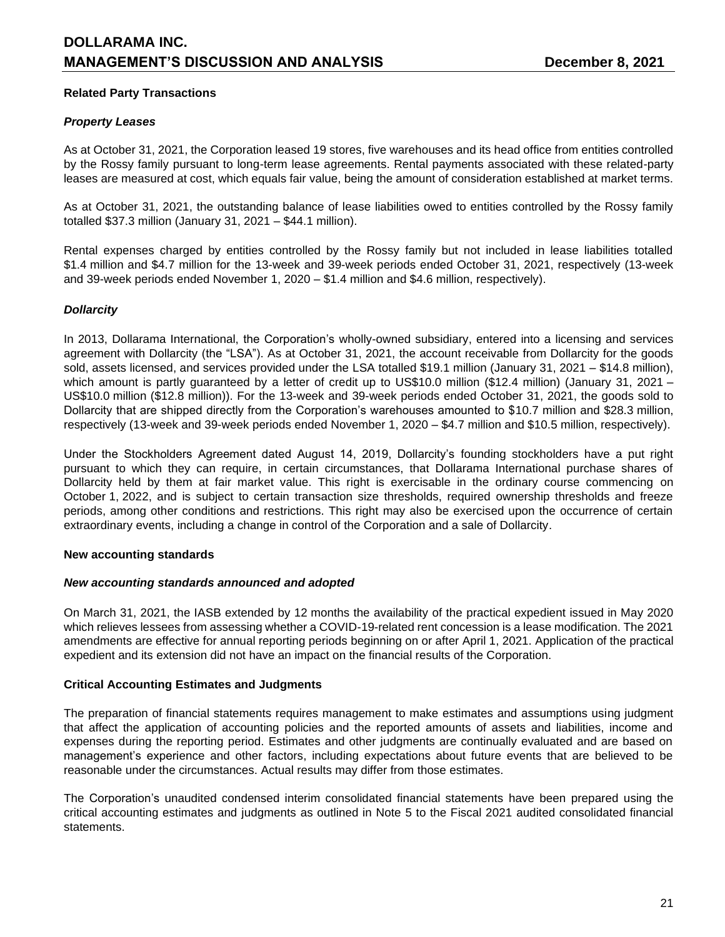# **Related Party Transactions**

### *Property Leases*

As at October 31, 2021, the Corporation leased 19 stores, five warehouses and its head office from entities controlled by the Rossy family pursuant to long-term lease agreements. Rental payments associated with these related-party leases are measured at cost, which equals fair value, being the amount of consideration established at market terms.

As at October 31, 2021, the outstanding balance of lease liabilities owed to entities controlled by the Rossy family totalled \$37.3 million (January 31, 2021 – \$44.1 million).

Rental expenses charged by entities controlled by the Rossy family but not included in lease liabilities totalled \$1.4 million and \$4.7 million for the 13-week and 39-week periods ended October 31, 2021, respectively (13-week and 39-week periods ended November 1, 2020 – \$1.4 million and \$4.6 million, respectively).

# *Dollarcity*

In 2013, Dollarama International, the Corporation's wholly-owned subsidiary, entered into a licensing and services agreement with Dollarcity (the "LSA"). As at October 31, 2021, the account receivable from Dollarcity for the goods sold, assets licensed, and services provided under the LSA totalled \$19.1 million (January 31, 2021 – \$14.8 million), which amount is partly guaranteed by a letter of credit up to US\$10.0 million (\$12.4 million) (January 31, 2021 – US\$10.0 million (\$12.8 million)). For the 13-week and 39-week periods ended October 31, 2021, the goods sold to Dollarcity that are shipped directly from the Corporation's warehouses amounted to \$10.7 million and \$28.3 million, respectively (13-week and 39-week periods ended November 1, 2020 – \$4.7 million and \$10.5 million, respectively).

Under the Stockholders Agreement dated August 14, 2019, Dollarcity's founding stockholders have a put right pursuant to which they can require, in certain circumstances, that Dollarama International purchase shares of Dollarcity held by them at fair market value. This right is exercisable in the ordinary course commencing on October 1, 2022, and is subject to certain transaction size thresholds, required ownership thresholds and freeze periods, among other conditions and restrictions. This right may also be exercised upon the occurrence of certain extraordinary events, including a change in control of the Corporation and a sale of Dollarcity.

#### **New accounting standards**

#### *New accounting standards announced and adopted*

On March 31, 2021, the IASB extended by 12 months the availability of the practical expedient issued in May 2020 which relieves lessees from assessing whether a COVID-19-related rent concession is a lease modification. The 2021 amendments are effective for annual reporting periods beginning on or after April 1, 2021. Application of the practical expedient and its extension did not have an impact on the financial results of the Corporation.

#### **Critical Accounting Estimates and Judgments**

The preparation of financial statements requires management to make estimates and assumptions using judgment that affect the application of accounting policies and the reported amounts of assets and liabilities, income and expenses during the reporting period. Estimates and other judgments are continually evaluated and are based on management's experience and other factors, including expectations about future events that are believed to be reasonable under the circumstances. Actual results may differ from those estimates.

The Corporation's unaudited condensed interim consolidated financial statements have been prepared using the critical accounting estimates and judgments as outlined in Note 5 to the Fiscal 2021 audited consolidated financial statements.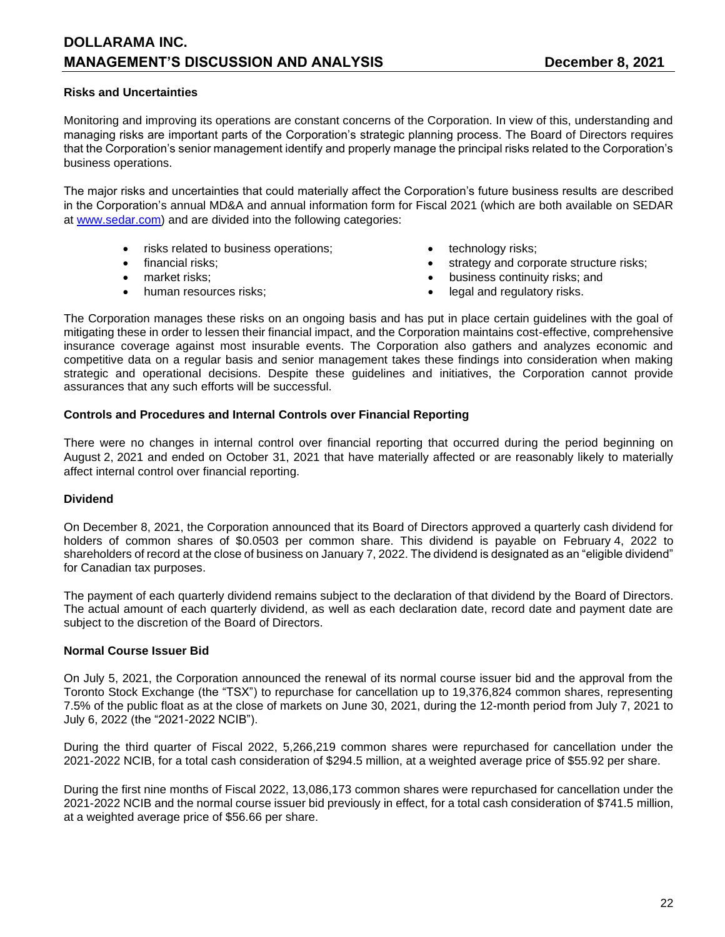### **Risks and Uncertainties**

Monitoring and improving its operations are constant concerns of the Corporation. In view of this, understanding and managing risks are important parts of the Corporation's strategic planning process. The Board of Directors requires that the Corporation's senior management identify and properly manage the principal risks related to the Corporation's business operations.

The major risks and uncertainties that could materially affect the Corporation's future business results are described in the Corporation's annual MD&A and annual information form for Fiscal 2021 (which are both available on SEDAR at [www.sedar.com\)](http://www.sedar.com/) and are divided into the following categories:

- risks related to business operations;  $\bullet$  technology risks;
- 
- 
- 
- 
- financial risks;  $\bullet$  strategy and corporate structure risks;
	- market risks; business continuity risks; and
	- human resources risks;  $\bullet$  legal and regulatory risks.

The Corporation manages these risks on an ongoing basis and has put in place certain guidelines with the goal of mitigating these in order to lessen their financial impact, and the Corporation maintains cost-effective, comprehensive insurance coverage against most insurable events. The Corporation also gathers and analyzes economic and competitive data on a regular basis and senior management takes these findings into consideration when making strategic and operational decisions. Despite these guidelines and initiatives, the Corporation cannot provide assurances that any such efforts will be successful.

#### **Controls and Procedures and Internal Controls over Financial Reporting**

There were no changes in internal control over financial reporting that occurred during the period beginning on August 2, 2021 and ended on October 31, 2021 that have materially affected or are reasonably likely to materially affect internal control over financial reporting.

#### **Dividend**

On December 8, 2021, the Corporation announced that its Board of Directors approved a quarterly cash dividend for holders of common shares of \$0.0503 per common share. This dividend is payable on February 4, 2022 to shareholders of record at the close of business on January 7, 2022. The dividend is designated as an "eligible dividend" for Canadian tax purposes.

The payment of each quarterly dividend remains subject to the declaration of that dividend by the Board of Directors. The actual amount of each quarterly dividend, as well as each declaration date, record date and payment date are subject to the discretion of the Board of Directors.

# **Normal Course Issuer Bid**

On July 5, 2021, the Corporation announced the renewal of its normal course issuer bid and the approval from the Toronto Stock Exchange (the "TSX") to repurchase for cancellation up to 19,376,824 common shares, representing 7.5% of the public float as at the close of markets on June 30, 2021, during the 12-month period from July 7, 2021 to July 6, 2022 (the "2021-2022 NCIB").

During the third quarter of Fiscal 2022, 5,266,219 common shares were repurchased for cancellation under the 2021-2022 NCIB, for a total cash consideration of \$294.5 million, at a weighted average price of \$55.92 per share.

During the first nine months of Fiscal 2022, 13,086,173 common shares were repurchased for cancellation under the 2021-2022 NCIB and the normal course issuer bid previously in effect, for a total cash consideration of \$741.5 million, at a weighted average price of \$56.66 per share.